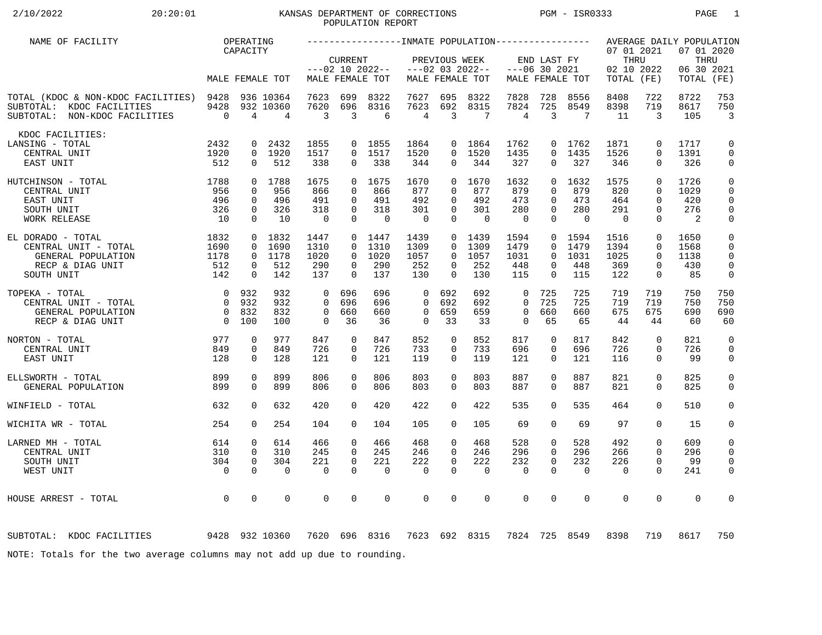# 2/10/2022 20:20:01 KANSAS DEPARTMENT OF CORRECTIONS PGM - ISR0333 PAGE 1 POPULATION REPORT

| NAME OF FACILITY                                                                                      |                        | OPERATING<br>CAPACITY   |                                          |                       |                      |                   |                                 |                              |                                 |                                |                                |                   | 07 01 2021         |                            | AVERAGE DAILY POPULATION<br>07 01 2020 |                              |
|-------------------------------------------------------------------------------------------------------|------------------------|-------------------------|------------------------------------------|-----------------------|----------------------|-------------------|---------------------------------|------------------------------|---------------------------------|--------------------------------|--------------------------------|-------------------|--------------------|----------------------------|----------------------------------------|------------------------------|
|                                                                                                       |                        |                         |                                          |                       | <b>CURRENT</b>       | $---02 10 2022--$ |                                 | PREVIOUS WEEK                | $---02$ 03 2022--               |                                | END LAST FY<br>$---06$ 30 2021 |                   | THRU<br>02 10 2022 |                            | THRU<br>06 30 2021                     |                              |
|                                                                                                       |                        |                         | MALE FEMALE TOT                          |                       |                      | MALE FEMALE TOT   |                                 |                              | MALE FEMALE TOT                 |                                |                                | MALE FEMALE TOT   | TOTAL (FE)         |                            | TOTAL                                  | (FE)                         |
| TOTAL (KDOC & NON-KDOC FACILITIES) 9428<br>SUBTOTAL: KDOC FACILITIES<br>SUBTOTAL: NON-KDOC FACILITIES | 9428<br>$\overline{0}$ | $\overline{4}$          | 936 10364<br>932 10360<br>$\overline{4}$ | 7623<br>7620<br>3     | 699<br>696<br>3      | 8322<br>8316<br>6 | 7627<br>7623<br>$\overline{4}$  | 695<br>692<br>$\overline{3}$ | 8322<br>8315<br>$7\phantom{.0}$ | 7828<br>7824<br>$\overline{4}$ | 728<br>725<br>3                | 8556<br>8549<br>7 | 8408<br>8398<br>11 | 722<br>719<br>3            | 8722<br>8617<br>105                    | 753<br>750<br>$\overline{3}$ |
| KDOC FACILITIES:                                                                                      |                        |                         |                                          |                       |                      |                   |                                 |                              |                                 |                                |                                |                   |                    |                            |                                        |                              |
| LANSING - TOTAL                                                                                       | 2432                   | 0                       | 2432                                     | 1855                  | $\overline{0}$       | 1855              | 1864                            |                              | 0 1864                          | 1762                           |                                | 0 1762            | 1871               | $\mathbf 0$                | 1717                                   | 0                            |
| CENTRAL UNIT                                                                                          | 1920                   | $\overline{0}$          | 1920                                     | 1517                  | $\Omega$             | 1517              | 1520                            | $\overline{0}$               | 1520                            | 1435                           | $\Omega$<br>$\Omega$           | 1435              | 1526               | $\mathbf 0$<br>$\Omega$    | 1391                                   | $\mathbf 0$                  |
| EAST UNIT                                                                                             | 512                    | $\Omega$                | 512                                      | 338                   | $\Omega$             | 338               | 344                             | 0                            | 344                             | 327                            |                                | 327               | 346                |                            | 326                                    | 0                            |
| 1788<br>HUTCHINSON - TOTAL                                                                            |                        |                         | 0 1788                                   | 1675                  | $\Omega$             | 1675              | 1670                            | $\Omega$                     | 1670                            | 1632                           | $\Omega$                       | 1632              | 1575               | $\Omega$                   | 1726                                   | 0                            |
| CENTRAL UNIT                                                                                          | 956                    | $\Omega$                | 956                                      | 866                   | $\Omega$             | 866               | 877                             | $\Omega$                     | 877                             | 879                            | $\Omega$                       | 879               | 820                | $\Omega$                   | 1029                                   | 0                            |
| EAST UNIT                                                                                             | 496                    | $\Omega$                | 496                                      | 491                   | $\Omega$             | 491               | 492                             | $\Omega$                     | 492                             | 473                            | $\Omega$                       | 473               | 464<br>291         | $\Omega$                   | 420<br>276                             | $\mathbf 0$                  |
| SOUTH UNIT<br><b>WORK RELEASE</b>                                                                     | 326<br>10              | $\mathbf 0$<br>$\Omega$ | 326<br>10                                | 318<br>$\overline{0}$ | 0<br>$\Omega$        | 318<br>$\Omega$   | 301<br>$\overline{\phantom{0}}$ | $\mathbf 0$<br>$\Omega$      | 301<br>$\Omega$                 | 280<br>$\mathbf 0$             | 0<br>$\Omega$                  | 280<br>$\Omega$   | $\Omega$           | $\mathbf 0$<br>$\Omega$    | 2                                      | $\mathbf 0$<br>0             |
|                                                                                                       |                        |                         |                                          |                       |                      |                   |                                 |                              |                                 |                                |                                |                   |                    |                            |                                        |                              |
| EL DORADO - TOTAL                                                                                     | 1832                   | $\mathbf 0$             | 1832                                     | 1447                  | 0                    | 1447              | 1439                            | $\overline{0}$               | 1439                            | 1594                           | 0                              | 1594              | 1516               | $\mathbf 0$                | 1650                                   | 0                            |
| CENTRAL UNIT - TOTAL                                                                                  | 1690                   | $\mathbf 0$             | 1690                                     | 1310                  | $\Omega$             | 1310              | 1309                            | $\Omega$                     | 1309                            | 1479                           | $\Omega$                       | 1479              | 1394               | $\mathbf 0$                | 1568                                   | 0                            |
| GENERAL POPULATION                                                                                    | 1178                   | $\overline{0}$          | 1178                                     | 1020                  | $\overline{0}$       | 1020              | 1057                            | $\overline{0}$               | 1057                            | 1031                           | $\Omega$                       | 1031              | 1025               | $\mathbf 0$                | 1138                                   | $\mathbf 0$                  |
| RECP & DIAG UNIT<br>SOUTH UNIT                                                                        | 512<br>142             | 0<br>$\Omega$           | 512<br>142                               | 290<br>137            | $\Omega$<br>$\Omega$ | 290<br>137        | 252<br>130                      | 0<br>$\Omega$                | 252<br>130                      | 448<br>115                     | 0<br>$\Omega$                  | 448<br>115        | 369<br>122         | 0<br>$\mathbf 0$           | 430<br>85                              | $\mathbf 0$<br>0             |
|                                                                                                       |                        |                         |                                          |                       |                      |                   |                                 |                              |                                 |                                |                                |                   |                    |                            |                                        |                              |
| TOPEKA - TOTAL                                                                                        | $\overline{0}$         | 932                     | 932                                      | $\Omega$              | 696                  | 696               | $\Omega$                        | 692                          | 692                             | $\Omega$                       | 725                            | 725               | 719                | 719                        | 750                                    | 750                          |
| CENTRAL UNIT - TOTAL                                                                                  | $\overline{0}$         | 932                     | 932                                      | $\Omega$              | 696                  | 696               | $\Omega$                        | 692                          | 692                             | $\Omega$                       | 725                            | 725               | 719                | 719                        | 750                                    | 750                          |
| GENERAL POPULATION                                                                                    | $\overline{0}$         | 832                     | 832                                      | $\mathbf 0$           | 660                  | 660               | $\mathbf 0$<br>$\Omega$         | 659                          | 659                             | $\mathbf 0$<br>$\Omega$        | 660                            | 660               | 675                | 675                        | 690                                    | 690                          |
| RECP & DIAG UNIT                                                                                      | $\overline{0}$         | 100                     | 100                                      | $\Omega$              | 36                   | 36                |                                 | 33                           | 33                              |                                | 65                             | 65                | 44                 | 44                         | 60                                     | 60                           |
| NORTON - TOTAL                                                                                        | 977                    | $\mathbf 0$             | 977                                      | 847                   | $\mathbf 0$          | 847               | 852                             | $\mathbf 0$                  | 852                             | 817                            | $\mathbf 0$                    | 817               | 842                | $\mathbf 0$                | 821                                    | $\mathbf 0$                  |
| CENTRAL UNIT                                                                                          | 849                    | $\mathbf 0$             | 849                                      | 726                   | 0                    | 726               | 733                             | 0                            | 733                             | 696                            | 0                              | 696               | 726                | $\mathbf 0$                | 726                                    | 0                            |
| EAST UNIT                                                                                             | 128                    | 0                       | 128                                      | 121                   | $\Omega$             | 121               | 119                             | $\Omega$                     | 119                             | 121                            | $\Omega$                       | 121               | 116                | $\Omega$                   | 99                                     | 0                            |
| ELLSWORTH - TOTAL                                                                                     | 899                    | $\Omega$                | 899                                      | 806                   | $\Omega$             | 806               | 803                             | $\Omega$                     | 803                             | 887                            | $\Omega$                       | 887               | 821                | $\mathbf 0$                | 825                                    | 0                            |
| GENERAL POPULATION                                                                                    | 899                    | $\Omega$                | 899                                      | 806                   | $\Omega$             | 806               | 803                             | $\Omega$                     | 803                             | 887                            | $\Omega$                       | 887               | 821                | $\Omega$                   | 825                                    | $\mathbf 0$                  |
|                                                                                                       |                        |                         |                                          |                       |                      |                   |                                 |                              |                                 |                                |                                |                   |                    |                            |                                        |                              |
| WINFIELD - TOTAL                                                                                      | 632                    | $\Omega$                | 632                                      | 420                   | $\Omega$             | 420               | 422                             | $\Omega$                     | 422                             | 535                            | $\Omega$                       | 535               | 464                | $\Omega$                   | 510                                    | $\mathbf 0$                  |
| WICHITA WR - TOTAL                                                                                    | 254                    | $\Omega$                | 254                                      | 104                   | $\Omega$             | 104               | 105                             | $\Omega$                     | 105                             | 69                             | 0                              | 69                | 97                 | $\mathbf 0$                | 15                                     | 0                            |
|                                                                                                       |                        |                         |                                          |                       |                      |                   |                                 |                              |                                 |                                |                                |                   |                    |                            |                                        |                              |
| LARNED MH - TOTAL<br>CENTRAL UNIT                                                                     | 614<br>310             | 0<br>$\mathbf 0$        | 614<br>310                               | 466<br>245            | 0<br>$\Omega$        | 466<br>245        | 468<br>246                      | 0<br>$\mathbf 0$             | 468<br>246                      | 528<br>296                     | 0<br>$\Omega$                  | 528<br>296        | 492<br>266         | $\mathbf 0$<br>$\mathbf 0$ | 609<br>296                             | 0<br>0                       |
| SOUTH UNIT                                                                                            | 304                    | $\mathbf 0$             | 304                                      | 221                   | 0                    | 221               | 222                             | 0                            | 222                             | 232                            | 0                              | 232               | 226                | $\mathbf 0$                | 99                                     | 0                            |
| WEST UNIT                                                                                             | $\overline{0}$         | $\Omega$                | $\Omega$                                 | $\Omega$              | $\Omega$             | $\Omega$          | $\Omega$                        | $\Omega$                     | $\Omega$                        | 0                              | $\Omega$                       | $\Omega$          | $\Omega$           | $\Omega$                   | 241                                    | 0                            |
|                                                                                                       |                        |                         |                                          |                       |                      |                   |                                 |                              |                                 |                                |                                |                   |                    |                            |                                        |                              |
| HOUSE ARREST - TOTAL                                                                                  | $\overline{0}$         | $\Omega$                | $\mathbf 0$                              | $\Omega$              | $\Omega$             | $\mathbf 0$       | 0                               | $\Omega$                     | $\Omega$                        | $\mathbf 0$                    | $\Omega$                       | $\mathbf 0$       | $\Omega$           | $\mathbf 0$                | $\Omega$                               | $\Omega$                     |
|                                                                                                       |                        |                         |                                          |                       |                      |                   |                                 |                              |                                 |                                |                                |                   |                    |                            |                                        |                              |
|                                                                                                       |                        |                         |                                          |                       |                      |                   |                                 |                              |                                 |                                |                                |                   |                    |                            |                                        |                              |
| 9428 932 10360<br>SUBTOTAL: KDOC FACILITIES                                                           |                        |                         |                                          | 7620                  |                      | 696 8316          |                                 |                              | 7623 692 8315                   | 7824                           |                                | 725 8549          | 8398               | 719                        | 8617                                   | 750                          |
| NOTE: Totals for the two average columns may not add up due to rounding.                              |                        |                         |                                          |                       |                      |                   |                                 |                              |                                 |                                |                                |                   |                    |                            |                                        |                              |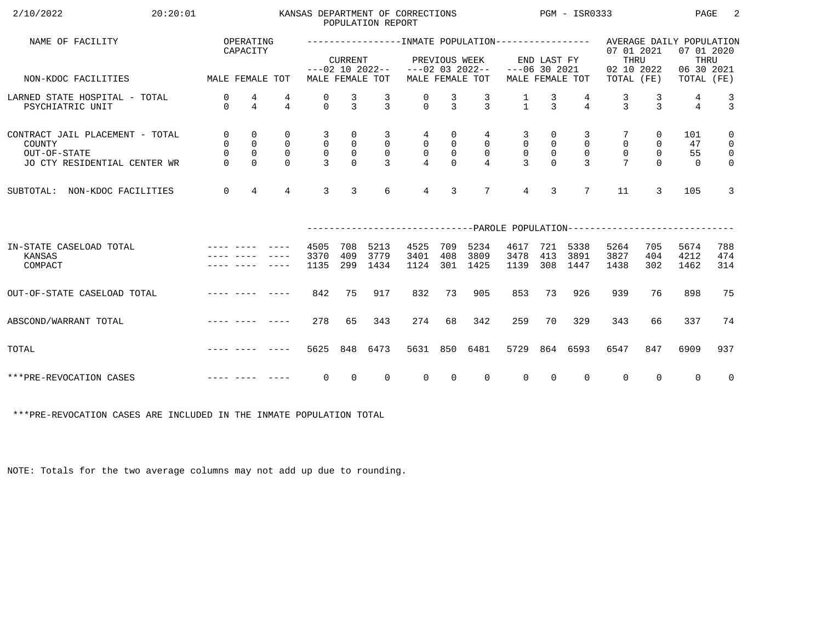| 2/10/2022<br>20:20:01                                                                     |                                          |                                                               |                                                             |                                                     |                                                             | POPULATION REPORT                                     | KANSAS DEPARTMENT OF CORRECTIONS     |                                                 |                                                      |                                                  |                                                                             | $PGM - ISR0333$                                 |                                                                                                  |                                                              | PAGE                        | -2                                                                         |
|-------------------------------------------------------------------------------------------|------------------------------------------|---------------------------------------------------------------|-------------------------------------------------------------|-----------------------------------------------------|-------------------------------------------------------------|-------------------------------------------------------|--------------------------------------|-------------------------------------------------|------------------------------------------------------|--------------------------------------------------|-----------------------------------------------------------------------------|-------------------------------------------------|--------------------------------------------------------------------------------------------------|--------------------------------------------------------------|-----------------------------|----------------------------------------------------------------------------|
| NAME OF FACILITY                                                                          |                                          | OPERATING<br>CAPACITY                                         |                                                             |                                                     | <b>CURRENT</b>                                              |                                                       | $---02$ 10 2022-- $---02$ 03 2022--  |                                                 | PREVIOUS WEEK                                        | $---06$ 30 2021                                  | END LAST FY                                                                 |                                                 | ----------------INMATE POPULATION---------------- AVERAGE DAILY POPULATION<br>07 01 2021<br>THRU |                                                              | 07 01 2020<br>THRU          |                                                                            |
| MALE FEMALE TOT<br>NON-KDOC FACILITIES                                                    |                                          |                                                               |                                                             |                                                     |                                                             | MALE FEMALE TOT                                       |                                      |                                                 | MALE FEMALE TOT                                      |                                                  |                                                                             | MALE FEMALE TOT                                 | 02 10 2022<br>TOTAL (FE)                                                                         |                                                              | 06 30 2021<br>TOTAL (FE)    |                                                                            |
| LARNED STATE HOSPITAL - TOTAL<br>PSYCHIATRIC UNIT                                         | 0<br>$\Omega$                            | 4<br>$\overline{4}$                                           | 4<br>$\overline{4}$                                         | 0<br>$\cap$                                         | $\frac{3}{3}$                                               | $\frac{3}{3}$                                         | $\begin{matrix} 0 \\ 0 \end{matrix}$ | $\frac{3}{3}$                                   | $\frac{3}{3}$                                        | $\frac{1}{1}$                                    | $\frac{3}{3}$                                                               | $\overline{4}$                                  | $\frac{3}{3}$                                                                                    | $\frac{3}{3}$                                                | 4<br>$\overline{4}$         | $\frac{3}{3}$                                                              |
| CONTRACT JAIL PLACEMENT - TOTAL<br>COUNTY<br>OUT-OF-STATE<br>JO CTY RESIDENTIAL CENTER WR | $\overline{0}$<br>$\mathsf{O}$<br>$\cap$ | $\mathbf 0$<br>$\mathsf 0$<br>$\mathsf{O}\xspace$<br>$\Omega$ | $\mathbf 0$<br>$\overline{0}$<br>$\overline{0}$<br>$\Omega$ | 3<br>$\overline{0}$<br>$\mathsf{O}$<br>$\mathbf{R}$ | 0<br>$\begin{smallmatrix}0\\0\end{smallmatrix}$<br>$\Omega$ | 3<br>$\overline{0}$<br>$\overline{0}$<br>$\mathbf{R}$ | 4<br>$\overline{0}$<br>$\frac{0}{4}$ | 0<br>$\overline{0}$<br>$\mathsf{O}$<br>$\Omega$ | 4<br>$\overline{0}$<br>$\mathbf 0$<br>$\overline{4}$ | 3<br>$\mathsf{O}$<br>$\mathbf 0$<br>$\mathbf{R}$ | $\overline{0}$<br>$\begin{smallmatrix}0\\0\\0\end{smallmatrix}$<br>$\Omega$ | 3<br>$\mathbf 0$<br>$\mathbf 0$<br>$\mathbf{R}$ | $\mathsf{O}\xspace$<br>$\mathsf{O}$<br>$\overline{7}$                                            | $\overline{0}$<br>$\mathsf{O}$<br>$\overline{0}$<br>$\Omega$ | 101<br>47<br>55<br>$\Omega$ | $\mathbf 0$<br>$\overline{0}$<br>$\overline{\mathbf{0}}$<br>$\overline{0}$ |
| SUBTOTAL: NON-KDOC FACILITIES                                                             | $\overline{0}$                           | $\overline{4}$                                                | $\overline{4}$                                              | 3                                                   | $\overline{3}$                                              | 6                                                     | $\overline{4}$                       | 3                                               | $7\phantom{.0}$                                      | $4\overline{ }$                                  | $\overline{3}$                                                              | $7\overline{ }$                                 | 11                                                                                               | $\mathcal{L}$                                                | 105                         | 3                                                                          |
|                                                                                           |                                          |                                                               |                                                             |                                                     |                                                             |                                                       |                                      |                                                 |                                                      |                                                  |                                                                             |                                                 | ------------------------------PAROLE POPULATION--------------------------                        |                                                              |                             |                                                                            |
| IN-STATE CASELOAD TOTAL<br>KANSAS<br>COMPACT                                              |                                          |                                                               |                                                             | 4505<br>3370<br>1135                                | 708<br>409<br>299                                           | 5213<br>3779<br>1434                                  | 4525<br>3401<br>1124                 | 709<br>408<br>301                               | 5234<br>3809<br>1425                                 | 4617<br>3478<br>1139                             | 413<br>308                                                                  | 721 5338<br>3891<br>1447                        | 5264<br>3827<br>1438                                                                             | 705<br>404<br>302                                            | 5674<br>4212<br>1462        | 788<br>474<br>314                                                          |
| OUT-OF-STATE CASELOAD TOTAL                                                               |                                          |                                                               | -----                                                       | 842                                                 | 75                                                          | 917                                                   | 832                                  | 73                                              | 905                                                  | 853                                              | 73                                                                          | 926                                             | 939                                                                                              | 76                                                           | 898                         | 75                                                                         |
| ABSCOND/WARRANT TOTAL                                                                     |                                          |                                                               |                                                             | 278                                                 | 65                                                          | 343                                                   | 274                                  | 68                                              | 342                                                  | 259                                              | 70                                                                          | 329                                             | 343                                                                                              | 66                                                           | 337                         | 74                                                                         |
| TOTAL                                                                                     |                                          |                                                               |                                                             | 5625                                                | 848                                                         | 6473                                                  | 5631                                 | 850                                             | 6481                                                 |                                                  |                                                                             | 5729 864 6593                                   | 6547                                                                                             | 847                                                          | 6909                        | 937                                                                        |
| ***PRE-REVOCATION CASES                                                                   |                                          |                                                               |                                                             | $\overline{0}$                                      | $\Omega$                                                    | $\overline{0}$                                        | $\Omega$                             | $\Omega$                                        | $\Omega$                                             | $\Omega$                                         | $\Omega$                                                                    | $\Omega$                                        | $\overline{0}$                                                                                   | $\Omega$                                                     | $\Omega$                    | $\overline{0}$                                                             |

\*\*\*PRE-REVOCATION CASES ARE INCLUDED IN THE INMATE POPULATION TOTAL

NOTE: Totals for the two average columns may not add up due to rounding.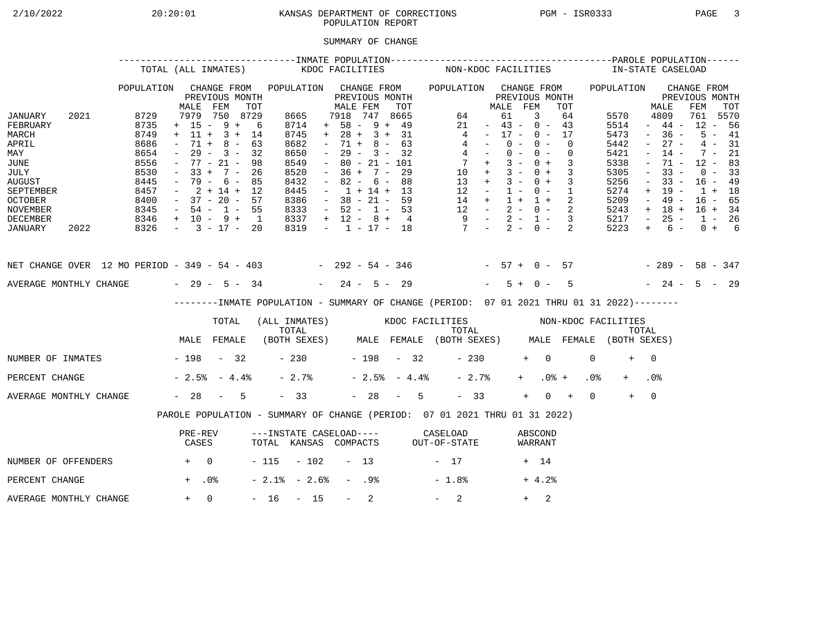# 2/10/2022 20:20:01 KANSAS DEPARTMENT OF CORRECTIONS PGM - ISR0333 PAGE 3 POPULATION REPORT

## SUMMARY OF CHANGE

|                                                                                                                                        |      |                                                                                      | TOTAL (ALL INMATES)                                                                                                                                         |                                                 |     |                                                                                             | KDOC FACILITIES     |                                                                                                                                                                          |                  |                                                                    |     |                | NON-KDOC FACILITIES                                                                                                                            |                                                                                                 |                                  |                |            |                          |                            |                 | IN-STATE CASELOAD                                                                    |                                                                                                           |                                                                                                       |                                                                                       |                                              |  |
|----------------------------------------------------------------------------------------------------------------------------------------|------|--------------------------------------------------------------------------------------|-------------------------------------------------------------------------------------------------------------------------------------------------------------|-------------------------------------------------|-----|---------------------------------------------------------------------------------------------|---------------------|--------------------------------------------------------------------------------------------------------------------------------------------------------------------------|------------------|--------------------------------------------------------------------|-----|----------------|------------------------------------------------------------------------------------------------------------------------------------------------|-------------------------------------------------------------------------------------------------|----------------------------------|----------------|------------|--------------------------|----------------------------|-----------------|--------------------------------------------------------------------------------------|-----------------------------------------------------------------------------------------------------------|-------------------------------------------------------------------------------------------------------|---------------------------------------------------------------------------------------|----------------------------------------------|--|
|                                                                                                                                        |      | POPULATION                                                                           | MALE                                                                                                                                                        | CHANGE FROM<br>PREVIOUS MONTH<br>FEM            | TOT | POPULATION CHANGE FROM                                                                      |                     | MALE FEM                                                                                                                                                                 |                  | PREVIOUS MONTH                                                     | TOT |                | POPULATION CHANGE FROM                                                                                                                         |                                                                                                 | MALE FEM                         | PREVIOUS MONTH |            |                          | TOT                        |                 | POPULATION                                                                           |                                                                                                           | MALE                                                                                                  | CHANGE FROM<br>PREVIOUS MONTH<br>FEM                                                  | TOT                                          |  |
| JANUARY<br>FEBRUARY<br>MARCH<br>APRIL<br>MAY<br>JUNE<br>JULY<br><b>AUGUST</b><br>SEPTEMBER<br><b>OCTOBER</b><br>NOVEMBER               | 2021 | 8729<br>8735<br>8749<br>8686<br>8654<br>8556<br>8530<br>8445<br>8457<br>8400<br>8345 | $+ 15 - 9 + 6$<br>$+ 11 + 3 + 14$<br>$\sim$<br>$ \,$<br>$-77 - 21 -$<br>$-33 + 7 - 26$<br>$-79 - 6 - 85$<br>$-2+14+12$<br>$-37 - 20 - 57$<br>$-54 - 1 - 55$ | 7979 750 8729<br>$71 + 8 - 63$<br>$29 - 3 - 32$ | 98  | 8665<br>8714<br>8745<br>8682<br>8650<br>8549<br>8520<br>8432<br>8445<br>8386<br>8333        |                     | 7918 747 8665<br>$+ 58 - 9 + 49$<br>$+ 28 + 3 + 31$<br>$\sim$<br>$\sim$ $-$<br>$\sim$<br>$-36 + 7 - 29$<br>$\sim$<br>$-1 + 14 + 13$<br>$-38 - 21 - 59$<br>$-52 - 1 - 53$ |                  | $71 + 8 - 63$<br>$29 - 3 - 32$<br>$80 - 21 - 101$<br>$82 - 6 - 88$ |     |                | $\overline{4}$<br>$\begin{array}{ccccccccc} 14 & + & 1 & + & 1 & + & 2 \\ 12 & - & 2 & - & 0 & - & 2 \\ 9 & - & 2 & - & 1 & - & 3 \end{array}$ | 64<br>21<br>$4 -$<br>$4 -$<br>$7 +$<br>$10 + 3 - 0 + 3$<br>$13 + 3 - 0 + 3$<br>$12 - 1 - 0 - 1$ | $-43 - 0 - 43$<br>$-17 - 0 - 17$ | 61<br>$0 -$    | 3<br>$0 -$ | $0 - 0 -$<br>$3 - 0 + 3$ | 64<br>$\Omega$<br>$\Omega$ |                 | 5570<br>5514<br>5473<br>5442<br>5421<br>5338<br>5305<br>5256<br>5274<br>5209<br>5243 | $\sim$<br>$\sim$<br>$\overline{\phantom{a}}$<br>$\equiv$<br>$\overline{\phantom{a}}$<br>$+$<br>$\sim$ $-$ | 4809<br>$-44-$<br>$-36 -$<br>$27 -$<br>$14 -$<br>71 -<br>$33 -$<br>$33 -$<br>19 -<br>49 -<br>$+ 18 +$ | 761 5570<br>$12 - 56$<br>$12 - 83$<br>$16 - 49$<br>$1 + 18$<br>$16 - 65$<br>$16 + 34$ | $5 - 41$<br>$4 - 31$<br>$7 - 21$<br>$0 - 33$ |  |
| DECEMBER<br>JANUARY                                                                                                                    | 2022 | $8346 + 10 - 9 + 1$<br>$8326 - 3 - 17 - 20$                                          |                                                                                                                                                             |                                                 |     | 8337<br>8319                                                                                |                     | $+ 12 - 8 + 4$                                                                                                                                                           |                  |                                                                    |     |                | $-1$ $-17$ $-18$ $7$ $-2$ $-0$ $-2$                                                                                                            |                                                                                                 |                                  |                |            |                          |                            |                 | 5217<br>5223                                                                         | $\sim$ $-$<br>$+$                                                                                         | $25 -$<br>$6 -$                                                                                       | $1 - 26$                                                                              | $0 + 6$                                      |  |
| NET CHANGE OVER 12 MO PERIOD - 349 - 54 - 403 - 292 - 54 - 346 - 57 + 0 - 57 - 289 - 58 - 347<br>AVERAGE MONTHLY CHANGE $-29 - 5 - 34$ |      |                                                                                      |                                                                                                                                                             |                                                 |     |                                                                                             |                     | $-24 - 5 - 29$                                                                                                                                                           |                  |                                                                    |     |                |                                                                                                                                                |                                                                                                 |                                  | $5 + 0 -$      |            |                          | $5^{\circ}$                |                 | $-24 - 5 - 29$                                                                       |                                                                                                           |                                                                                                       |                                                                                       |                                              |  |
|                                                                                                                                        |      |                                                                                      |                                                                                                                                                             |                                                 |     | --------INMATE POPULATION - SUMMARY OF CHANGE (PERIOD: 07 01 2021 THRU 01 31 2022)--------  |                     |                                                                                                                                                                          |                  |                                                                    |     |                |                                                                                                                                                |                                                                                                 |                                  |                |            |                          |                            |                 |                                                                                      |                                                                                                           |                                                                                                       |                                                                                       |                                              |  |
|                                                                                                                                        |      |                                                                                      |                                                                                                                                                             | TOTAL                                           |     | (ALL INMATES) WOOC FACILITIES NON-KDOC FACILITIES                                           |                     |                                                                                                                                                                          |                  |                                                                    |     |                |                                                                                                                                                |                                                                                                 |                                  |                |            |                          |                            |                 |                                                                                      |                                                                                                           |                                                                                                       |                                                                                       |                                              |  |
|                                                                                                                                        |      |                                                                                      | MALE FEMALE                                                                                                                                                 |                                                 |     | TOTAL TOTAL TOTAL TOTAL TOTAL TOTAL TOTAL TOTAL TOTAL (BOTH SEXES) MALE FEMALE (BOTH SEXES) |                     |                                                                                                                                                                          |                  |                                                                    |     |                |                                                                                                                                                |                                                                                                 |                                  |                |            |                          |                            |                 |                                                                                      |                                                                                                           |                                                                                                       |                                                                                       |                                              |  |
| NUMBER OF INMATES - 198 - 32                                                                                                           |      |                                                                                      |                                                                                                                                                             |                                                 |     |                                                                                             | $-230$ $-198$ $-32$ |                                                                                                                                                                          |                  |                                                                    |     |                |                                                                                                                                                | $-230$                                                                                          |                                  |                | $+ 0$      |                          |                            | $\Omega$        | $+$                                                                                  | $\bigcap$                                                                                                 |                                                                                                       |                                                                                       |                                              |  |
| PERCENT CHANGE                                                                                                                         |      |                                                                                      | $-2.5$ $-4.4$ $-$                                                                                                                                           |                                                 |     | $-2.7%$                                                                                     |                     |                                                                                                                                                                          |                  |                                                                    |     | $-2.5% - 4.4%$ |                                                                                                                                                | $-2.7%$                                                                                         |                                  |                | $+$ $-$    | $.0%$ +                  |                            | .0 <sub>8</sub> |                                                                                      | .0 <sub>8</sub>                                                                                           |                                                                                                       |                                                                                       |                                              |  |
| AVERAGE MONTHLY CHANGE                                                                                                                 |      |                                                                                      | $-28 - 5$                                                                                                                                                   |                                                 |     | $-33$                                                                                       |                     |                                                                                                                                                                          |                  |                                                                    |     | $-28 - 5$      |                                                                                                                                                | $-33$                                                                                           |                                  |                | $+$        | $0 +$                    |                            | $\Omega$        | $+$                                                                                  | $\overline{0}$                                                                                            |                                                                                                       |                                                                                       |                                              |  |
|                                                                                                                                        |      |                                                                                      | PAROLE POPULATION - SUMMARY OF CHANGE (PERIOD: 07 01 2021 THRU 01 31 2022)                                                                                  |                                                 |     |                                                                                             |                     |                                                                                                                                                                          |                  |                                                                    |     |                |                                                                                                                                                |                                                                                                 |                                  |                |            |                          |                            |                 |                                                                                      |                                                                                                           |                                                                                                       |                                                                                       |                                              |  |
|                                                                                                                                        |      |                                                                                      | PRE-REV<br>CASES                                                                                                                                            |                                                 |     | ---INSTATE CASELOAD---- CASELOAD<br>TOTAL KANSAS COMPACTS OUT-OF-STATE                      |                     |                                                                                                                                                                          |                  |                                                                    |     |                |                                                                                                                                                |                                                                                                 |                                  |                |            | ABSCOND<br>WARRANT       |                            |                 |                                                                                      |                                                                                                           |                                                                                                       |                                                                                       |                                              |  |
| NUMBER OF OFFENDERS                                                                                                                    |      | $+$ 0                                                                                |                                                                                                                                                             |                                                 |     | $-115 - 102 - 13$                                                                           |                     |                                                                                                                                                                          |                  |                                                                    |     |                | $-17$                                                                                                                                          |                                                                                                 |                                  |                | + 14       |                          |                            |                 |                                                                                      |                                                                                                           |                                                                                                       |                                                                                       |                                              |  |
| PERCENT CHANGE                                                                                                                         |      |                                                                                      | $+$ .0%                                                                                                                                                     |                                                 |     | $-2.1$ % $-2.6$ %                                                                           |                     |                                                                                                                                                                          | - .98            |                                                                    |     |                | $-1.8%$                                                                                                                                        |                                                                                                 |                                  |                |            | $+4.2%$                  |                            |                 |                                                                                      |                                                                                                           |                                                                                                       |                                                                                       |                                              |  |
| AVERAGE MONTHLY CHANGE                                                                                                                 |      |                                                                                      | $+ 0$                                                                                                                                                       |                                                 |     | $-16 - 15$                                                                                  |                     |                                                                                                                                                                          | $\sim$ 100 $\mu$ | 2                                                                  |     |                | $-2$                                                                                                                                           |                                                                                                 |                                  |                | $+$        | 2                        |                            |                 |                                                                                      |                                                                                                           |                                                                                                       |                                                                                       |                                              |  |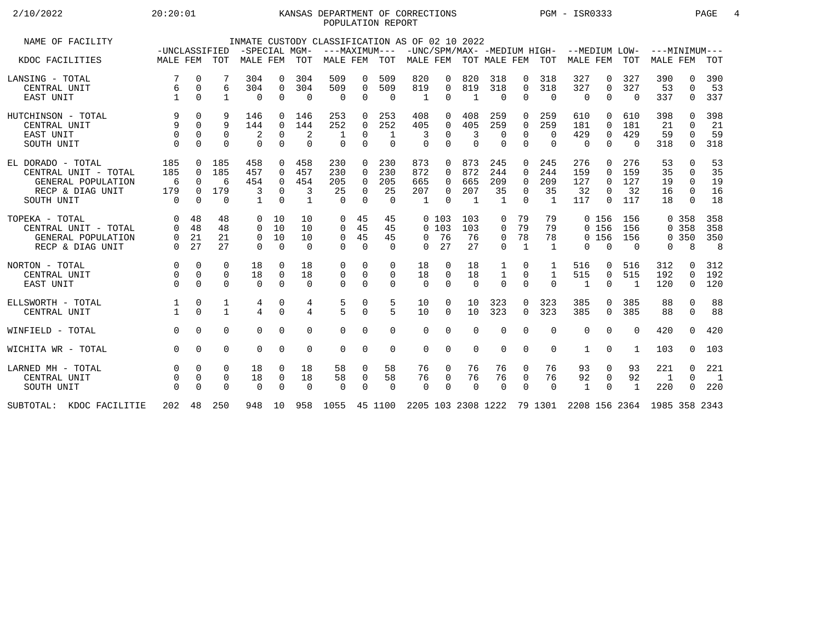## 2/10/2022 20:20:01 KANSAS DEPARTMENT OF CORRECTIONS PGM - ISR0333 PAGE 4 POPULATION REPORT

| NAME OF FACILITY         |               |             |              |               |              |                | INMATE CUSTODY CLASSIFICATION AS OF 02 10 2022                          |             |               |                           |             |                |              |              |                |                                           |                |              |                 |              |                |
|--------------------------|---------------|-------------|--------------|---------------|--------------|----------------|-------------------------------------------------------------------------|-------------|---------------|---------------------------|-------------|----------------|--------------|--------------|----------------|-------------------------------------------|----------------|--------------|-----------------|--------------|----------------|
|                          | -UNCLASSIFIED |             |              | -SPECIAL MGM- |              |                |                                                                         |             | ---MAXIMUM--- |                           |             |                |              |              |                | -UNC/SPM/MAX- -MEDIUM HIGH- --MEDIUM LOW- |                |              | $---MINIMUM---$ |              |                |
| KDOC FACILITIES          | MALE FEM TOT  |             |              | MALE FEM      |              | TOT            | MALE FEM                                                                |             | TOT           | MALE FEM TOT MALE FEM TOT |             |                |              |              |                | MALE FEM                                  |                | <b>TOT</b>   | <b>MALE FEM</b> |              | TOT            |
| LANSING - TOTAL          | 7             | $\Omega$    |              | 304           | $\Omega$     | 304            | 509                                                                     | 0           | 509           | 820                       | 0           | 820            | 318          | $\mathbf{0}$ | 318            | 327                                       | 0              | 327          | 390             | 0            | 390            |
| CENTRAL UNIT             | 6             | $\mathbf 0$ | 6            | 304           | $\mathbf{0}$ | 304            | 509                                                                     | 0           | 509           | 819                       | $\Omega$    | 819            | 318          | $\Omega$     | 318            | 327                                       | 0              | 327          | 53              | $\Omega$     | 53             |
| EAST UNIT                |               | $\Omega$    | $\mathbf{1}$ | $\mathbf 0$   | $\Omega$     | $\Omega$       | $\mathbf 0$                                                             | $\mathbf 0$ | $\Omega$      | $\mathbf{1}$              | $\Omega$    | 1              | $\Omega$     | $\Omega$     | $\Omega$       | $\mathbf 0$                               | $\mathbf 0$    | $\Omega$     | 337             | $\mathbf 0$  | 337            |
| HUTCHINSON - TOTAL       | 9             | $\Omega$    | 9            | 146           | $\Omega$     | 146            | 253                                                                     | $\Omega$    | 253           | 408                       | $\Omega$    | 408            | 259          | $\Omega$     | 259            | 610                                       | 0              | 610          | 398             | <sup>0</sup> | 398            |
| CENTRAL UNIT             | 9             | $\Omega$    | 9            | 144           | $\mathbf{0}$ | 144            | 252                                                                     | $\mathbf 0$ | 252           | 405                       | $\Omega$    | 405            | 259          | $\Omega$     | 259            | 181                                       | $\Omega$       | 181          | 21              | $\cap$       | 21             |
| EAST UNIT                | $\mathbf 0$   | 0           | 0            | 2             | $\mathbf 0$  | 2              |                                                                         | 0           | 1             | 3                         | $\Omega$    | 3              | 0            | $\Omega$     | $\Omega$       | 429                                       | $\mathbf 0$    | 429          | 59              |              | 59             |
| SOUTH UNIT               |               | $\Omega$    | $\Omega$     | $\Omega$      | $\Omega$     | $\Omega$       | $\Omega$                                                                | $\Omega$    | $\Omega$      | $\Omega$                  | $\Omega$    | $\Omega$       | $\Omega$     | $\Omega$     | $\Omega$       | $\Omega$                                  | $\Omega$       | $\Omega$     | 318             | $\Omega$     | 318            |
| EL DORADO - TOTAL        | 185           | $\Omega$    | 185          | 458           | $\Omega$     | 458            | 230                                                                     | $\Omega$    | 230           | 873                       | $\Omega$    | 873            | 245          | $\Omega$     | 245            | 276                                       | $\Omega$       | 276          | 53              | $\Omega$     | 53             |
| CENTRAL UNIT - TOTAL     | 185           | $\Omega$    | 185          | 457           | $\Omega$     | 457            | 230                                                                     | $\Omega$    | 230           | 872                       | $\Omega$    | 872            | 244          | $\Omega$     | 244            | 159                                       | $\Omega$       | 159          | 35              | $\Omega$     | 35             |
| GENERAL POPULATION       | 6             | $\Omega$    | 6            | 454           | $\Omega$     | 454            | 205                                                                     | $\Omega$    | 205           | 665                       | $\Omega$    | 665            | 209          | $\Omega$     | 209            | 127                                       | $\Omega$       | 127          | 19              | $\Omega$     | 19             |
| RECP & DIAG UNIT         | 179           | $\Omega$    | 179          | 3             | $\Omega$     | 3              | 25                                                                      | $\Omega$    | 25            | 207                       | $\Omega$    | 207            | 35           | $\Omega$     | 35             | 32                                        | $\Omega$       | 32           | 16              | $\Omega$     | 16             |
| SOUTH UNIT               | $\Omega$      | $\Omega$    | $\Omega$     | $\mathbf{1}$  | $\Omega$     | $\mathbf{1}$   | $\cap$                                                                  | $\Omega$    | $\Omega$      | $\overline{1}$            | $\cap$      | $\overline{1}$ | $\mathbf{1}$ | $\cap$       | $\overline{1}$ | 117                                       | $\Omega$       | 117          | 18              | $\Omega$     | 18             |
|                          |               |             |              |               |              |                |                                                                         |             |               |                           |             |                |              |              |                |                                           |                |              |                 |              |                |
| TOPEKA - TOTAL           | $\Omega$      | 48          | 48           | $\Omega$      | 10           | 10             | $\Omega$                                                                | 45          | 45            |                           | 0, 103      | 103            | 0            | 79           | 79             |                                           | 0 156          | 156          |                 | 0 358        | 358            |
| CENTRAL UNIT - TOTAL     | $\Omega$      | 48          | 48           | $\Omega$      | 10           | 10             | $\Omega$                                                                | 45          | 45            |                           | 0, 103      | 103            | 0            | 79           | 79             |                                           | 0 156          | 156          |                 | 0 358        | 358            |
| GENERAL POPULATION       | 0             | 21          | 21           | $\mathbf{0}$  | 10           | 10             | $\mathbf 0$                                                             | 45          | 45            | $\Omega$                  | 76          | 76             | 0            | 78           | 78             |                                           | 0 156          | 156          |                 | 0, 350       | 350            |
| RECP & DIAG UNIT         | $\Omega$      | 27          | 27           | $\Omega$      | $\Omega$     | $\Omega$       | $\Omega$                                                                | $\Omega$    | $\Omega$      | $\Omega$                  | 27          | 27             | $\Omega$     | $\mathbf{1}$ | $\overline{1}$ | $\Omega$                                  | $\Omega$       | $\Omega$     | $\Omega$        | 8            | 8              |
|                          |               |             |              |               |              |                |                                                                         |             |               |                           |             |                |              |              |                |                                           |                |              |                 |              |                |
| NORTON - TOTAL           | $\Omega$      | $\Omega$    | $\Omega$     | 18            | $\Omega$     | 18             | 0                                                                       | $\Omega$    | $\Omega$      | 18                        | $\Omega$    | 18             | 1            | 0            | 1              | 516                                       | 0              | 516          | 312             | 0            | 312            |
| CENTRAL UNIT             | 0             | $\Omega$    | 0            | 18            | $\mathbf 0$  | 18             | 0                                                                       | $\mathbf 0$ | $\mathbf 0$   | 18                        | $\mathbf 0$ | 18             | $\mathbf{1}$ | 0            | $\mathbf{1}$   | 515                                       | $\mathbf 0$    | 515          | 192             | 0            | 192            |
| EAST UNIT                | $\Omega$      | $\Omega$    | $\Omega$     | $\Omega$      | $\Omega$     | $\Omega$       | $\Omega$                                                                | $\Omega$    | $\Omega$      | $\Omega$                  | $\Omega$    | $\Omega$       | $\Omega$     | $\Omega$     | $\Omega$       | $\mathbf{1}$                              | $\Omega$       | 1            | 120             | $\Omega$     | 120            |
|                          |               |             |              |               |              |                |                                                                         |             |               |                           |             |                |              |              |                |                                           |                |              |                 |              |                |
| ELLSWORTH - TOTAL        |               | 0           | 1            | 4             | 0            | 4              | 5<br>$\overline{5}$                                                     | 0           | 5             | 10                        | $\Omega$    | 10             | 323          | $\Omega$     | 323            | 385                                       | $\Omega$       | 385          | 88              | $\Omega$     | 88             |
| CENTRAL UNIT             |               | $\Omega$    | $\mathbf{1}$ | 4             | $\Omega$     | $\overline{4}$ |                                                                         | $\Omega$    | 5             | 10                        | $\Omega$    | 10             | 323          | $\Omega$     | 323            | 385                                       | $\Omega$       | 385          | 88              | $\Omega$     | 88             |
| WINFIELD - TOTAL         | $\Omega$      | $\Omega$    | $\Omega$     | $\Omega$      | $\Omega$     | $\Omega$       | $\Omega$                                                                | $\Omega$    | $\Omega$      | $\Omega$                  | $\Omega$    | $\Omega$       | $\Omega$     | $\Omega$     | 0              | $\Omega$                                  | $\Omega$       | $\Omega$     | 420             | $\Omega$     | 420            |
| WICHITA WR - TOTAL       | $\Omega$      | $\Omega$    | $\Omega$     | $\Omega$      | $\Omega$     | $\Omega$       | $\Omega$                                                                | $\mathbf 0$ | $\Omega$      | 0                         | $\Omega$    | $\Omega$       | $\Omega$     | $\Omega$     | 0              | 1                                         | $\Omega$       | 1            | 103             | 0            | 103            |
|                          |               |             |              |               |              |                |                                                                         |             |               |                           |             |                |              |              |                |                                           |                |              |                 |              |                |
| LARNED MH - TOTAL        |               | $\Omega$    | $\Omega$     | 18            | $\Omega$     | 18             | 58                                                                      | 0           | 58            | 76                        | 0           | 76             | 76           | 0            | 76             | 93                                        | 0              | 93           | 221             | $\Omega$     | 221            |
| CENTRAL UNIT             |               | $\mathbf 0$ | 0            | 18            | 0            | 18             | 58                                                                      | $\mathbf 0$ | 58            | 76                        | $\mathbf 0$ | 76             | 76           | $\mathbf 0$  | 76             | 92                                        | $\overline{0}$ | 92           | 1               | $\Omega$     | $\overline{1}$ |
| SOUTH UNIT               |               | $\Omega$    | $\Omega$     | $\mathbf 0$   | $\Omega$     | $\Omega$       | $\Omega$                                                                | $\mathbf 0$ | $\Omega$      | $\Omega$                  | $\Omega$    | $\overline{0}$ | $\Omega$     | $\Omega$     | $\Omega$       | 1                                         | $\Omega$       | $\mathbf{1}$ | 220             | 0            | 220            |
| SUBTOTAL: KDOC FACILITIE |               |             | 202 48 250   |               | 948 10       |                | 958 1055 45 1100 2205 103 2308 1222 79 1301 2208 156 2364 1985 358 2343 |             |               |                           |             |                |              |              |                |                                           |                |              |                 |              |                |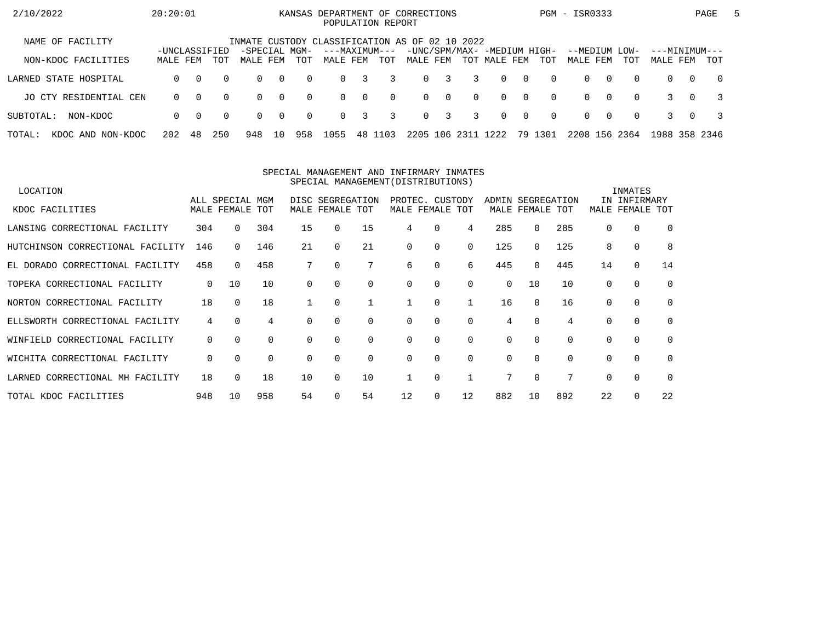| 2/10/2022                   | 20:20:01                  |          |          |                                                |                |          | KANSAS DEPARTMENT OF CORRECTIONS<br>POPULATION REPORT |          |          |          |                         |          |                                             |                |          | PGM - ISR0333        |          |             |                           |          | PAGE           | $\mathbf{b}$ |
|-----------------------------|---------------------------|----------|----------|------------------------------------------------|----------------|----------|-------------------------------------------------------|----------|----------|----------|-------------------------|----------|---------------------------------------------|----------------|----------|----------------------|----------|-------------|---------------------------|----------|----------------|--------------|
| NAME OF FACILITY            |                           |          |          | INMATE CUSTODY CLASSIFICATION AS OF 02 10 2022 |                |          |                                                       |          |          |          |                         |          |                                             |                |          |                      |          |             |                           |          |                |              |
| NON-KDOC FACILITIES         | -UNCLASSIFIED<br>MALE FEM |          | TOT      | -SPECIAL MGM-<br>MALE FEM                      |                | TOT      | ---MAXIMUM---<br>MALE FEM                             |          | TOT      | MALE FEM |                         |          | -UNC/SPM/MAX- -MEDIUM HIGH-<br>TOT MALE FEM |                | TOT      | --MEDIUM<br>MALE FEM |          | LOW-<br>TOT | ---MINIMUM---<br>MALE FEM |          | TOT            |              |
| LARNED STATE HOSPITAL       | $\Omega$                  | $\Omega$ | $\Omega$ | $\Omega$                                       | $\overline{0}$ | $\Omega$ | $\Omega$                                              | 3        | 3        | $\Omega$ | $\overline{\mathbf{3}}$ | 3        | $\Omega$                                    | $\overline{0}$ | $\Omega$ | $\Omega$             | $\Omega$ | $\Omega$    | $\Omega$                  | $\Omega$ | $\overline{0}$ |              |
| JO CTY RESIDENTIAL CEN      | $\Omega$                  | $\Omega$ | $\Omega$ | $\Omega$                                       | $\overline{0}$ | $\Omega$ | $\Omega$                                              | $\Omega$ | $\Omega$ |          | $0 \quad 0$             | $\Omega$ | $\Omega$                                    | $\overline{0}$ | $\Omega$ | $\Omega$             | റ        | $\Omega$    |                           | $\Omega$ |                |              |
| SUBTOTAL:<br>NON-KDOC       | $\Omega$                  | - 0      | $\Omega$ | $\Omega$                                       | $\overline{0}$ | $\Omega$ | $\Omega$                                              | 3        | 3        |          | $0 \quad 3$             | 3        | $\Omega$                                    | $\overline{0}$ | $\Omega$ | $\Omega$             | $\Omega$ | $\Omega$    |                           | $\Omega$ |                |              |
| TOTAL:<br>KDOC AND NON-KDOC | 202                       | 48       | 250      | 948                                            | 10             | 958      | 1055                                                  | 48 1     | 103      | 2205     | 106                     | 2311     | 1222                                        |                | 79 1301  | 2208 156 2364        |          |             | 1988 358 2346             |          |                |              |

#### SPECIAL MANAGEMENT AND INFIRMARY INMATESSPECIAL MANAGEMENT(DISTRIBUTIONS)

| LOCATION                           |     |                 |     |          |                  |             |          |                 |          |          |             |             |          | INMATES      |             |
|------------------------------------|-----|-----------------|-----|----------|------------------|-------------|----------|-----------------|----------|----------|-------------|-------------|----------|--------------|-------------|
|                                    |     | ALL SPECIAL MGM |     |          | DISC SEGREGATION |             |          | PROTEC. CUSTODY |          | ADMIN    |             | SEGREGATION |          | IN INFIRMARY |             |
| KDOC FACILITIES                    |     | MALE FEMALE TOT |     | MALE     | FEMALE TOT       |             |          | MALE FEMALE TOT |          |          | MALE FEMALE | TOT         | MALE     | FEMALE       | TOT         |
| LANSING CORRECTIONAL FACILITY      | 304 | $\Omega$        | 304 | 15       | $\Omega$         | 15          | 4        | $\Omega$        | 4        | 285      | $\Omega$    | 285         | $\Omega$ | 0            | $\Omega$    |
| HUTCHINSON CORRECTIONAL FACILITY   | 146 |                 | 146 | 21       |                  | 21          | $\Omega$ | 0               | $\Omega$ | 125      | 0           | 125         | 8        | $\mathbf 0$  | 8           |
| EL DORADO CORRECTIONAL FACILITY    | 458 | $\Omega$        | 458 |          | 0                |             | 6        | 0               | 6        | 445      | 0           | 445         | 14       | 0            | 14          |
| TOPEKA CORRECTIONAL FACILITY       | 0   | 10              | 10  | 0        |                  | $\Omega$    | $\Omega$ | 0               | $\Omega$ | $\Omega$ | 10          | 10          | $\Omega$ | 0            | $\mathbf 0$ |
| NORTON CORRECTIONAL FACILITY       | 18  | $\Omega$        | 18  |          | $\Omega$         |             |          | $\Omega$        |          | 16       | $\Omega$    | 16          | $\Omega$ | 0            | $\Omega$    |
| ELLSWORTH CORRECTIONAL FACILITY    | 4   | $\Omega$        | 4   |          |                  | $\Omega$    | $\Omega$ | 0               | $\Omega$ | 4        | $\Omega$    | 4           |          | $\mathbf 0$  | $\mathbf 0$ |
| CORRECTIONAL FACILITY<br>WINFIELD  | 0   | $\Omega$        | 0   | $\Omega$ | $\Omega$         | $\mathbf 0$ | 0        | 0               | $\Omega$ | 0        | $\Omega$    | $\Omega$    | $\Omega$ | $\mathbf 0$  | $\Omega$    |
| WICHITA CORRECTIONAL FACILITY      | 0   | $\Omega$        | 0   | $\Omega$ | $\Omega$         | $\Omega$    | $\Omega$ | $\Omega$        | $\Omega$ | 0        | $\Omega$    | $\Omega$    | $\Omega$ | $\mathbf 0$  | $\Omega$    |
| CORRECTIONAL MH FACILITY<br>LARNED | 18  | $\Omega$        | 18  | 10       | 0                | 10          |          | $\Omega$        |          | 7        | $\Omega$    | 7           | $\Omega$ | $\Omega$     | $\Omega$    |
| TOTAL KDOC FACILITIES              | 948 | 10              | 958 | 54       |                  | 54          | 12       | 0               | 12       | 882      | 10          | 892         | 22       | 0            | 22          |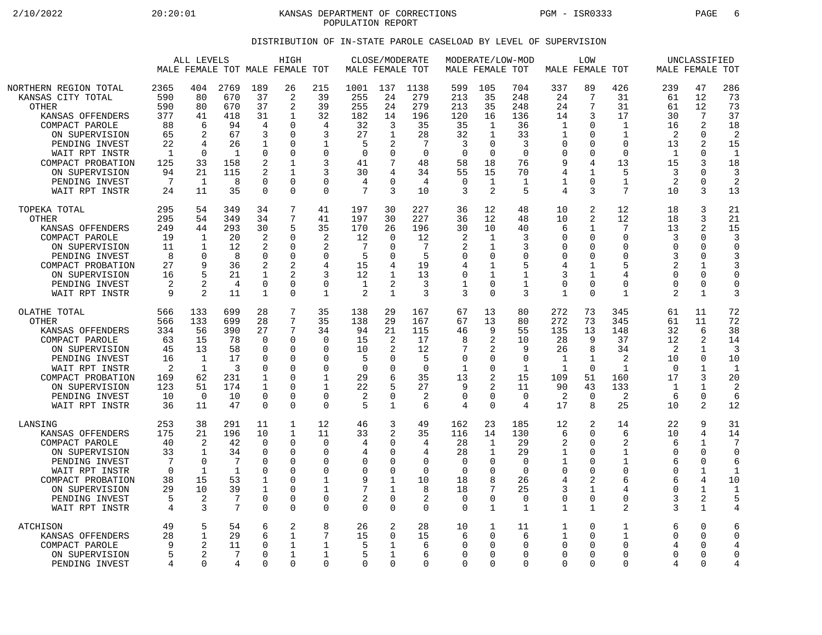2/10/2022 20:20:01 KANSAS DEPARTMENT OF CORRECTIONS PGM - ISR0333 PAGE 6 POPULATION REPORT

## DISTRIBUTION OF IN-STATE PAROLE CASELOAD BY LEVEL OF SUPERVISION

|                                                                                                                                                                            |                                                          | ALL LEVELS                                          |                                                           |                                                             | HIGH<br>MALE FEMALE TOT MALE FEMALE TOT                                    |                                                                               | MALE FEMALE TOT                                                                 | CLOSE/MODERATE                                                                        |                                                         | MALE FEMALE TOT                                             |                                                                                      | MODERATE/LOW-MOD                                                   |                                                                                         | <b>LOW</b><br>MALE FEMALE TOT                                                                       |                                                                                         |                                                                   | UNCLASSIFIED<br>MALE FEMALE TOT                                                |                                                                        |
|----------------------------------------------------------------------------------------------------------------------------------------------------------------------------|----------------------------------------------------------|-----------------------------------------------------|-----------------------------------------------------------|-------------------------------------------------------------|----------------------------------------------------------------------------|-------------------------------------------------------------------------------|---------------------------------------------------------------------------------|---------------------------------------------------------------------------------------|---------------------------------------------------------|-------------------------------------------------------------|--------------------------------------------------------------------------------------|--------------------------------------------------------------------|-----------------------------------------------------------------------------------------|-----------------------------------------------------------------------------------------------------|-----------------------------------------------------------------------------------------|-------------------------------------------------------------------|--------------------------------------------------------------------------------|------------------------------------------------------------------------|
| NORTHERN REGION TOTAL                                                                                                                                                      | 2365                                                     | 404                                                 | 2769                                                      | 189                                                         | 26                                                                         | 215                                                                           | 1001                                                                            | 137                                                                                   | 1138                                                    | 599                                                         | 105                                                                                  | 704                                                                | 337                                                                                     | 89                                                                                                  | 426                                                                                     | 239                                                               | 47                                                                             | 286                                                                    |
| KANSAS CITY TOTAL                                                                                                                                                          | 590                                                      | 80                                                  | 670                                                       | 37                                                          | 2                                                                          | 39                                                                            | 255                                                                             | 24                                                                                    | 279                                                     | 213                                                         | 35                                                                                   | 248                                                                | 24                                                                                      | 7                                                                                                   | 31                                                                                      | 61                                                                | 12                                                                             | 73                                                                     |
| <b>OTHER</b>                                                                                                                                                               | 590                                                      | 80                                                  | 670                                                       | 37                                                          | 2                                                                          | 39                                                                            | 255                                                                             | 24                                                                                    | 279                                                     | 213                                                         | 35                                                                                   | 248                                                                | 24                                                                                      | 7                                                                                                   | 31                                                                                      | 61                                                                | 12                                                                             | 73                                                                     |
| KANSAS OFFENDERS                                                                                                                                                           | 377                                                      | 41                                                  | 418                                                       | 31                                                          | $\mathbf{1}$                                                               | 32                                                                            | 182                                                                             | 14                                                                                    | 196                                                     | 120                                                         | 16                                                                                   | 136                                                                | 14                                                                                      | 3                                                                                                   | 17                                                                                      | 30                                                                | 7                                                                              | 37                                                                     |
| COMPACT PAROLE                                                                                                                                                             | 88                                                       | 6                                                   | 94                                                        | 4                                                           | $\Omega$                                                                   | 4                                                                             | 32                                                                              | 3                                                                                     | 35                                                      | 35                                                          | 1                                                                                    | 36                                                                 | $\mathbf{1}$                                                                            | $\Omega$                                                                                            | $\mathbf{1}$                                                                            | 16                                                                | $\overline{a}$                                                                 | 18                                                                     |
| ON SUPERVISION                                                                                                                                                             | 65                                                       | $\mathfrak{D}$                                      | 67                                                        | 3                                                           | $\Omega$                                                                   | 3                                                                             | 27                                                                              | 1                                                                                     | 28                                                      | 32                                                          | $\mathbf{1}$                                                                         | 33                                                                 | 1                                                                                       | $\Omega$                                                                                            | $\mathbf{1}$                                                                            | 2                                                                 | $\Omega$                                                                       | 2                                                                      |
| PENDING INVEST                                                                                                                                                             | 22                                                       | 4                                                   | 26                                                        | 1                                                           | 0                                                                          | 1                                                                             | 5                                                                               | 2                                                                                     | 7                                                       | 3                                                           | $\mathbf 0$                                                                          | 3                                                                  | $\mathbf 0$                                                                             | 0                                                                                                   | $\mathbf 0$                                                                             | 13                                                                | 2                                                                              | 15                                                                     |
| WAIT RPT INSTR                                                                                                                                                             | $\mathbf{1}$                                             | $\Omega$                                            | $\mathbf{1}$                                              | 0                                                           | $\Omega$                                                                   | $\Omega$                                                                      | $\Omega$                                                                        | $\Omega$                                                                              | $\Omega$                                                | $\Omega$                                                    | $\Omega$                                                                             | $\Omega$                                                           | $\Omega$                                                                                | $\Omega$                                                                                            | $\Omega$                                                                                | $\mathbf 1$                                                       | $\Omega$                                                                       | $\mathbf{1}$                                                           |
| COMPACT PROBATION                                                                                                                                                          | 125                                                      | 33                                                  | 158                                                       | 2                                                           | $\mathbf{1}$                                                               | 3                                                                             | 41                                                                              | 7                                                                                     | 48                                                      | 58                                                          | 18                                                                                   | 76                                                                 | 9                                                                                       | 4                                                                                                   | 13                                                                                      | 15                                                                | 3                                                                              | 18                                                                     |
| ON SUPERVISION                                                                                                                                                             | 94                                                       | 21                                                  | 115                                                       | 2                                                           | $\mathbf{1}$                                                               | 3                                                                             | 30                                                                              | 4                                                                                     | 34                                                      | 55                                                          | 15                                                                                   | 70                                                                 | 4                                                                                       | 1                                                                                                   | 5                                                                                       | 3                                                                 | $\Omega$                                                                       | 3                                                                      |
| PENDING INVEST                                                                                                                                                             | 7                                                        | $\mathbf{1}$                                        | 8                                                         | $\mathbf 0$                                                 | $\Omega$                                                                   | $\mathbf 0$                                                                   | 4                                                                               | $\Omega$                                                                              | $\overline{4}$                                          | $\overline{0}$                                              | $\mathbf{1}$                                                                         | $\mathbf 1$                                                        | $\mathbf 1$                                                                             | $\Omega$                                                                                            | 1                                                                                       | $\overline{2}$                                                    | $\Omega$                                                                       | $\overline{a}$                                                         |
| WAIT RPT INSTR                                                                                                                                                             | 24                                                       | 11                                                  | 35                                                        | $\Omega$                                                    | $\Omega$                                                                   | $\Omega$                                                                      | 7                                                                               | 3                                                                                     | 10                                                      | 3                                                           | 2                                                                                    | 5                                                                  | 4                                                                                       | 3                                                                                                   | 7                                                                                       | 10                                                                | 3                                                                              | 13                                                                     |
| TOPEKA TOTAL<br>OTHER<br>KANSAS OFFENDERS<br>COMPACT PAROLE<br>ON SUPERVISION<br>PENDING INVEST<br>COMPACT PROBATION<br>ON SUPERVISION<br>PENDING INVEST<br>WAIT RPT INSTR | 295<br>295<br>249<br>19<br>11<br>8<br>27<br>16<br>2<br>9 | 54<br>54<br>44<br>1<br>1<br>0<br>9<br>5<br>2<br>2   | 349<br>349<br>293<br>20<br>12<br>8<br>36<br>21<br>4<br>11 | 34<br>34<br>30<br>2<br>2<br>0<br>2<br>1<br>$\mathbf 0$<br>1 | 7<br>7<br>5<br>$\Omega$<br>$\Omega$<br>0<br>2<br>2<br>$\Omega$<br>$\Omega$ | 41<br>41<br>35<br>2<br>2<br>$\mathbf 0$<br>4<br>3<br>$\Omega$<br>$\mathbf{1}$ | 197<br>197<br>170<br>12<br>7<br>5<br>15<br>12<br>$\mathbf{1}$<br>$\overline{2}$ | 30<br>30<br>26<br>$\Omega$<br>$\Omega$<br>0<br>4<br>$\mathbf{1}$<br>2<br>$\mathbf{1}$ | 227<br>227<br>196<br>12<br>7<br>5<br>19<br>13<br>3<br>3 | 36<br>36<br>30<br>2<br>2<br>0<br>4<br>$\mathbf 0$<br>1<br>3 | 12<br>12<br>10<br>$\mathbf{1}$<br>1<br>$\mathbf 0$<br>1<br>1<br>$\Omega$<br>$\Omega$ | 48<br>48<br>40<br>3<br>3<br>$\Omega$<br>5<br>$\mathbf 1$<br>1<br>3 | 10<br>10<br>6<br>$\Omega$<br>$\Omega$<br>$\Omega$<br>4<br>3<br>$\Omega$<br>$\mathbf{1}$ | 2<br>2<br>$\mathbf{1}$<br>$\mathbf 0$<br>$\Omega$<br>0<br>1<br>$\mathbf{1}$<br>$\Omega$<br>$\Omega$ | 12<br>12<br>7<br>$\Omega$<br>$\Omega$<br>$\Omega$<br>5<br>4<br>$\Omega$<br>$\mathbf{1}$ | 18<br>18<br>13<br>3<br>$\Omega$<br>3<br>$\Omega$<br>$\Omega$<br>2 | 3<br>3<br>2<br>$\Omega$<br>0<br>$\Omega$<br>1<br>0<br>$\Omega$<br>$\mathbf{1}$ | 21<br>21<br>15<br>3<br>$\Omega$<br>3<br>3<br>$\Omega$<br>$\Omega$<br>3 |
| OLATHE TOTAL                                                                                                                                                               | 566                                                      | 133                                                 | 699                                                       | 28                                                          | 7                                                                          | 35                                                                            | 138                                                                             | 29                                                                                    | 167                                                     | 67                                                          | 13                                                                                   | 80                                                                 | 272                                                                                     | 73                                                                                                  | 345                                                                                     | 61                                                                | 11                                                                             | 72                                                                     |
| <b>OTHER</b>                                                                                                                                                               | 566                                                      | 133                                                 | 699                                                       | 28                                                          | 7                                                                          | 35                                                                            | 138                                                                             | 29                                                                                    | 167                                                     | 67                                                          | 13                                                                                   | 80                                                                 | 272                                                                                     | 73                                                                                                  | 345                                                                                     | 61                                                                | 11                                                                             | 72                                                                     |
| KANSAS OFFENDERS                                                                                                                                                           | 334                                                      | 56                                                  | 390                                                       | 27                                                          | 7                                                                          | 34                                                                            | 94                                                                              | 21                                                                                    | 115                                                     | 46                                                          | 9                                                                                    | 55                                                                 | 135                                                                                     | 13                                                                                                  | 148                                                                                     | 32                                                                | 6                                                                              | 38                                                                     |
| COMPACT PAROLE                                                                                                                                                             | 63                                                       | 15                                                  | 78                                                        | $\Omega$                                                    | $\Omega$                                                                   | $\Omega$                                                                      | 15                                                                              | 2                                                                                     | 17                                                      | 8                                                           | 2                                                                                    | 10                                                                 | 28                                                                                      | 9                                                                                                   | 37                                                                                      | 12                                                                | $\overline{2}$                                                                 | 14                                                                     |
| ON SUPERVISION                                                                                                                                                             | 45                                                       | 13                                                  | 58                                                        | 0                                                           | 0                                                                          | $\mathbf 0$                                                                   | 10                                                                              | 2                                                                                     | 12                                                      | 7                                                           | 2                                                                                    | 9                                                                  | 26                                                                                      | 8                                                                                                   | 34                                                                                      | 2                                                                 | $\mathbf{1}$                                                                   | 3                                                                      |
| PENDING INVEST                                                                                                                                                             | 16                                                       | 1                                                   | 17                                                        | 0                                                           | O                                                                          | $\Omega$                                                                      | 5                                                                               | $\Omega$                                                                              | 5                                                       | $\Omega$                                                    | $\Omega$                                                                             | $\Omega$                                                           | 1                                                                                       | 1                                                                                                   | 2                                                                                       | 10                                                                | $\Omega$                                                                       | 10                                                                     |
| WAIT RPT INSTR                                                                                                                                                             | $\overline{2}$                                           | 1                                                   | 3                                                         | 0                                                           | 0                                                                          | $\Omega$                                                                      | $\Omega$                                                                        | $\Omega$                                                                              | $\Omega$                                                | $\mathbf{1}$                                                | $\mathbf 0$                                                                          | $\mathbf 1$                                                        | $\mathbf{1}$                                                                            | $\Omega$                                                                                            | $\mathbf{1}$                                                                            | $\Omega$                                                          | $\mathbf{1}$                                                                   | $\mathbf{1}$                                                           |
| COMPACT PROBATION                                                                                                                                                          | 169                                                      | 62                                                  | 231                                                       | 1                                                           | O                                                                          | $\mathbf{1}$                                                                  | 29                                                                              | 6                                                                                     | 35                                                      | 13                                                          | 2                                                                                    | 15                                                                 | 109                                                                                     | 51                                                                                                  | 160                                                                                     | 17                                                                | 3                                                                              | 20                                                                     |
| ON SUPERVISION                                                                                                                                                             | 123                                                      | 51                                                  | 174                                                       | 1                                                           | 0                                                                          | 1                                                                             | 22                                                                              | 5                                                                                     | 27                                                      | 9                                                           | 2                                                                                    | 11                                                                 | 90                                                                                      | 43                                                                                                  | 133                                                                                     | 1                                                                 | $\mathbf 1$                                                                    | 2                                                                      |
| PENDING INVEST                                                                                                                                                             | 10                                                       | $\Omega$                                            | 10                                                        | $\mathbf 0$                                                 | $\Omega$                                                                   | $\Omega$                                                                      | $\overline{2}$                                                                  | $\Omega$                                                                              | 2                                                       | 0                                                           | $\mathbf 0$                                                                          | 0                                                                  | 2                                                                                       | $\overline{0}$                                                                                      | 2                                                                                       | 6                                                                 | $\Omega$                                                                       | 6                                                                      |
| WAIT RPT INSTR                                                                                                                                                             | 36                                                       | 11                                                  | 47                                                        | $\mathbf 0$                                                 | $\Omega$                                                                   | $\Omega$                                                                      | 5                                                                               | 1                                                                                     | 6                                                       | 4                                                           | $\Omega$                                                                             | 4                                                                  | 17                                                                                      | 8                                                                                                   | 25                                                                                      | 10                                                                | $\overline{a}$                                                                 | 12                                                                     |
| LANSING                                                                                                                                                                    | 253                                                      | 38                                                  | 291                                                       | 11                                                          | 1                                                                          | 12                                                                            | 46                                                                              | 3                                                                                     | 49                                                      | 162                                                         | 23                                                                                   | 185                                                                | 12                                                                                      | 2                                                                                                   | 14                                                                                      | 22                                                                | 9                                                                              | 31                                                                     |
| KANSAS OFFENDERS                                                                                                                                                           | 175                                                      | 21                                                  | 196                                                       | 10                                                          | 1                                                                          | 11                                                                            | 33                                                                              | 2                                                                                     | 35                                                      | 116                                                         | 14                                                                                   | 130                                                                | 6                                                                                       | $\Omega$                                                                                            | 6                                                                                       | 10                                                                | 4                                                                              | 14                                                                     |
| COMPACT PAROLE                                                                                                                                                             | 40                                                       | 2                                                   | 42                                                        | 0                                                           | 0                                                                          | $\mathbf 0$                                                                   | 4                                                                               | 0                                                                                     | 4                                                       | 28                                                          | $\mathbf{1}$                                                                         | 29                                                                 | 2                                                                                       | 0                                                                                                   | 2                                                                                       | 6                                                                 | $\mathbf{1}$                                                                   | 7                                                                      |
| ON SUPERVISION                                                                                                                                                             | 33                                                       | $\mathbf{1}$                                        | 34                                                        | 0                                                           | $\Omega$                                                                   | $\Omega$                                                                      | 4                                                                               | $\Omega$                                                                              | $\overline{4}$                                          | 28                                                          | $\mathbf{1}$                                                                         | 29                                                                 | 1                                                                                       | $\Omega$                                                                                            | 1                                                                                       | $\Omega$                                                          | $\Omega$                                                                       | $\Omega$                                                               |
| PENDING INVEST                                                                                                                                                             | 7                                                        | $\mathbf 0$                                         | -7                                                        | 0                                                           | 0                                                                          | $\Omega$                                                                      | 0                                                                               | ∩                                                                                     | $\Omega$                                                | 0                                                           | $\Omega$                                                                             | $\Omega$                                                           | $\mathbf 1$                                                                             | 0                                                                                                   | $\mathbf{1}$                                                                            | 6                                                                 | 0                                                                              | 6                                                                      |
| WAIT RPT INSTR                                                                                                                                                             | 0                                                        | $\mathbf{1}$                                        | 1                                                         | 0                                                           | 0                                                                          | 0                                                                             | 0                                                                               | $\Omega$                                                                              | 0                                                       | 0                                                           | 0                                                                                    | $\mathbf 0$                                                        | $\mathbf 0$                                                                             | 0                                                                                                   | $\Omega$                                                                                | $\Omega$                                                          | 1                                                                              | 1                                                                      |
| COMPACT PROBATION                                                                                                                                                          | 38                                                       | 15                                                  | 53                                                        | 1                                                           | 0                                                                          | $\mathbf{1}$                                                                  | 9                                                                               | 1                                                                                     | 10                                                      | 18                                                          | 8                                                                                    | 26                                                                 | 4                                                                                       | 2                                                                                                   | 6                                                                                       | 6                                                                 | 4                                                                              | 10                                                                     |
| ON SUPERVISION                                                                                                                                                             | 29                                                       | 10                                                  | 39                                                        | 1                                                           | $\Omega$                                                                   | 1                                                                             | 7                                                                               | 1                                                                                     | 8                                                       | 18                                                          | 7                                                                                    | 25                                                                 | 3                                                                                       | 1                                                                                                   | 4                                                                                       | $\Omega$                                                          | 1                                                                              | $\mathbf{1}$                                                           |
| PENDING INVEST                                                                                                                                                             | 5                                                        | 2                                                   | 7                                                         | 0                                                           | 0                                                                          | $\mathbf 0$                                                                   | 2                                                                               | $\mathbf 0$                                                                           | 2                                                       | $\overline{0}$                                              | $\mathbf 0$                                                                          | 0                                                                  | $\mathbf 0$                                                                             | 0                                                                                                   | $\mathbf 0$                                                                             | 3                                                                 | 2                                                                              | 5                                                                      |
| WAIT RPT INSTR                                                                                                                                                             | 4                                                        | 3                                                   | 7                                                         | $\Omega$                                                    | $\Omega$                                                                   | $\mathbf 0$                                                                   | $\Omega$                                                                        | $\Omega$                                                                              | $\Omega$                                                | $\Omega$                                                    | $\mathbf{1}$                                                                         | 1                                                                  | $\mathbf{1}$                                                                            | $\mathbf{1}$                                                                                        | $\overline{2}$                                                                          | 3                                                                 | $\mathbf{1}$                                                                   | 4                                                                      |
| <b>ATCHISON</b><br>KANSAS OFFENDERS<br>COMPACT PAROLE<br>ON SUPERVISION<br>PENDING INVEST                                                                                  | 49<br>28<br>9<br>5<br>4                                  | 5<br>$\mathbf 1$<br>$\overline{2}$<br>2<br>$\Omega$ | 54<br>29<br>11<br>7<br>4                                  | 6<br>6<br>0<br>$\mathbf 0$<br>$\Omega$                      | 2<br>1<br>1<br>$\mathbf{1}$<br>$\Omega$                                    | 8<br>7<br>1<br>1<br>$\Omega$                                                  | 26<br>15<br>5<br>5<br>$\Omega$                                                  | 2<br>$\Omega$<br>1<br>$\mathbf{1}$<br>$\Omega$                                        | 28<br>15<br>6<br>6<br>$\Omega$                          | 10<br>6<br>0<br>0<br>$\mathbf 0$                            | $\mathbf{1}$<br>$\Omega$<br>0<br>$\mathbf 0$<br>$\Omega$                             | 11<br>6<br>$\Omega$<br>∩<br>$\Omega$                               | 1<br>1<br>$\Omega$<br>$\Omega$<br>$\Omega$                                              | 0<br>$\Omega$<br>$\Omega$<br>$\mathbf 0$<br>$\Omega$                                                | 1<br>$\mathbf{1}$<br>$\Omega$<br>$\Omega$<br>$\mathbf 0$                                | 6<br>$\Omega$<br>4<br>$\Omega$<br>4                               | 0<br>0<br>O<br>0<br>0                                                          | 6<br>$\mathbf 0$<br>$\Omega$<br>4                                      |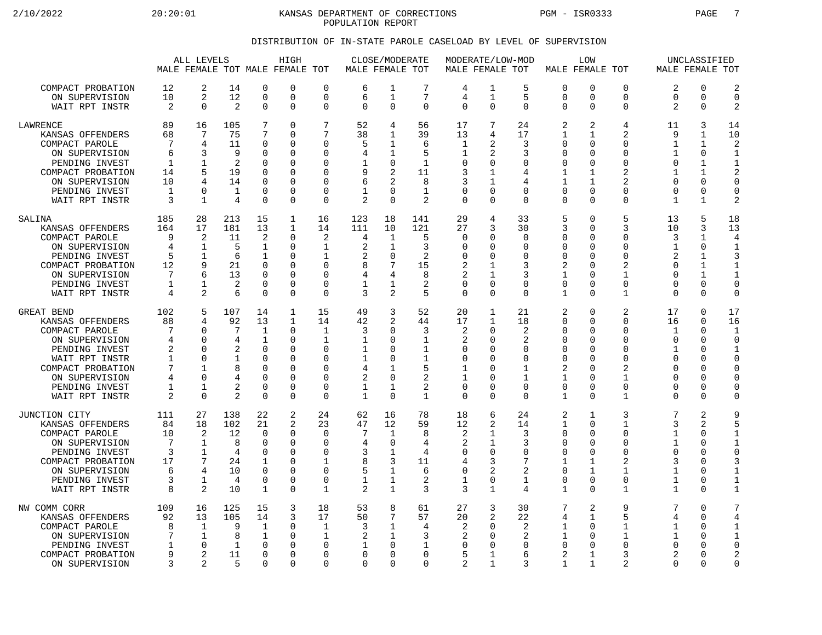2/10/2022 20:20:01 KANSAS DEPARTMENT OF CORRECTIONS PGM - ISR0333 PAGE 7 POPULATION REPORT

## DISTRIBUTION OF IN-STATE PAROLE CASELOAD BY LEVEL OF SUPERVISION

|                                                                                                                                                                                   |                                                                | ALL LEVELS                                                                                     |                                                   |                                                                                               | HIGH<br>MALE FEMALE TOT MALE FEMALE TOT                                    |                                                                                                            | MALE FEMALE TOT                                                          | CLOSE/MODERATE                                                                                   |                                                                      | MODERATE/LOW-MOD<br>MALE FEMALE TOT                                                               |                                                                                                  |                                                                                   |                                                                                                                        | LOW<br>MALE FEMALE TOT                                                                                     |                                                                                                 |                                                                                               | UNCLASSIFIED<br>MALE FEMALE TOT                                                                              |                                                                                                           |
|-----------------------------------------------------------------------------------------------------------------------------------------------------------------------------------|----------------------------------------------------------------|------------------------------------------------------------------------------------------------|---------------------------------------------------|-----------------------------------------------------------------------------------------------|----------------------------------------------------------------------------|------------------------------------------------------------------------------------------------------------|--------------------------------------------------------------------------|--------------------------------------------------------------------------------------------------|----------------------------------------------------------------------|---------------------------------------------------------------------------------------------------|--------------------------------------------------------------------------------------------------|-----------------------------------------------------------------------------------|------------------------------------------------------------------------------------------------------------------------|------------------------------------------------------------------------------------------------------------|-------------------------------------------------------------------------------------------------|-----------------------------------------------------------------------------------------------|--------------------------------------------------------------------------------------------------------------|-----------------------------------------------------------------------------------------------------------|
| COMPACT PROBATION<br>ON SUPERVISION<br>WAIT RPT INSTR                                                                                                                             | 12<br>10<br>$\overline{2}$                                     | 2<br>2<br>$\Omega$                                                                             | 14<br>12<br>2                                     | $\mathbf 0$<br>$\mathbf 0$<br>$\Omega$                                                        | 0<br>0<br>$\Omega$                                                         | $\mathbf 0$<br>$\Omega$<br>$\mathbf 0$                                                                     | 6<br>6<br>$\Omega$                                                       | 1<br>$\mathbf{1}$<br>$\Omega$                                                                    | 7<br>7<br>$\Omega$                                                   | 4<br>4<br>$\mathbf 0$                                                                             | 1<br>$\mathbf{1}$<br>$\Omega$                                                                    | 5<br>5<br>$\Omega$                                                                | $\mathbf 0$<br>$\Omega$<br>$\mathbf 0$                                                                                 | $\Omega$<br>$\Omega$<br>$\Omega$                                                                           | 0<br>$\Omega$<br>0                                                                              | 2<br>$\Omega$<br>$\overline{2}$                                                               | 0<br>0<br>$\Omega$                                                                                           | 2<br>$\Omega$<br>$\mathcal{D}$                                                                            |
| LAWRENCE<br>KANSAS OFFENDERS<br>COMPACT PAROLE<br>ON SUPERVISION<br>PENDING INVEST<br>COMPACT PROBATION<br>ON SUPERVISION<br>PENDING INVEST<br>WAIT RPT INSTR                     | 89<br>68<br>7<br>6<br>1<br>14<br>10<br>1<br>3                  | 16<br>7<br>4<br>3<br>$\mathbf 1$<br>5<br>4<br>$\Omega$<br>$\mathbf{1}$                         | 105<br>75<br>11<br>9<br>2<br>19<br>14<br>1<br>4   | 7<br>7<br>0<br>0<br>0<br>$\mathbf 0$<br>$\Omega$<br>$\mathbf 0$<br>$\Omega$                   | 0<br>0<br>0<br>$\Omega$<br>0<br>0<br>O<br>0<br>0                           | 7<br>$\overline{7}$<br>$\Omega$<br>$\Omega$<br>$\Omega$<br>$\Omega$<br>$\Omega$<br>$\mathbf 0$<br>$\Omega$ | 52<br>38<br>5<br>4<br>1<br>9<br>6<br>1<br>2                              | 4<br>$\mathbf{1}$<br>1<br>1<br>0<br>2<br>2<br>$\Omega$<br>$\Omega$                               | 56<br>39<br>6<br>5<br>1<br>11<br>8<br>$\mathbf{1}$<br>$\overline{2}$ | 17<br>13<br>1<br>1<br>0<br>3<br>3<br>$\mathbf 0$<br>$\Omega$                                      | 7<br>4<br>2<br>2<br>0<br>$\mathbf{1}$<br>1<br>$\mathbf 0$<br>$\Omega$                            | 24<br>17<br>3<br>3<br>$\Omega$<br>4<br>4<br>$\mathbf 0$<br>$\Omega$               | 2<br>$\mathbf{1}$<br>$\mathbf 0$<br>$\Omega$<br>$\mathbf 0$<br>$\mathbf{1}$<br>$\mathbf{1}$<br>$\mathbf 0$<br>$\Omega$ | 2<br>1<br>$\mathbf 0$<br>$\Omega$<br>$\Omega$<br>$\mathbf 1$<br>$\mathbf{1}$<br>$\Omega$<br>$\Omega$       | 4<br>$\overline{a}$<br>0<br>$\Omega$<br>0<br>$\overline{2}$<br>2<br>0<br>$\Omega$               | 11<br>9<br>1<br>1<br>$\Omega$<br>$\mathbf{1}$<br>$\Omega$<br>$\Omega$<br>$\mathbf{1}$         | 3<br>$\mathbf{1}$<br>$\mathbf 1$<br>$\Omega$<br>$\mathbf 1$<br>$\mathbf{1}$<br>$\Omega$<br>0<br>$\mathbf{1}$ | 14<br>10<br>2<br>$\mathbf{1}$<br>1<br>2<br>$\Omega$<br>$\Omega$<br>2                                      |
| SALINA<br>KANSAS OFFENDERS<br>COMPACT PAROLE<br>ON SUPERVISION<br>PENDING INVEST<br>COMPACT PROBATION<br>ON SUPERVISION<br>PENDING INVEST<br>WAIT RPT INSTR                       | 185<br>164<br>9<br>4<br>5<br>12<br>7<br>1<br>4                 | 28<br>17<br>2<br>1<br>1<br>9<br>б.<br>$\mathbf{1}$<br>$\overline{a}$                           | 213<br>181<br>11<br>5<br>6<br>21<br>13<br>2<br>6  | 15<br>13<br>$\overline{2}$<br>$\mathbf 1$<br>1<br>0<br>$\Omega$<br>$\Omega$<br>$\mathbf 0$    | 1<br>$\mathbf{1}$<br>0<br>0<br>0<br>0<br>0<br>0<br>0                       | 16<br>14<br>2<br>$\mathbf 1$<br>1<br>$\mathbf 0$<br>$\Omega$<br>$\Omega$<br>$\mathbf 0$                    | 123<br>111<br>4<br>2<br>2<br>8<br>4<br>1<br>3                            | 18<br>10<br>1<br>$\mathbf 1$<br>0<br>7<br>$\overline{4}$<br>1<br>2                               | 141<br>121<br>5<br>3<br>2<br>15<br>8<br>2<br>5                       | 29<br>27<br>$\Omega$<br>$\mathbf 0$<br>$\Omega$<br>2<br>$\overline{a}$<br>$\Omega$<br>$\mathbf 0$ | 4<br>3<br>$\Omega$<br>0<br>$\Omega$<br>1<br>$\mathbf{1}$<br>$\Omega$<br>$\Omega$                 | 33<br>30<br>$\Omega$<br>$\mathbf 0$<br>$\Omega$<br>3<br>3<br>$\Omega$<br>$\Omega$ | 5<br>3<br>0<br>$\mathbf 0$<br>$\Omega$<br>2<br>$\mathbf{1}$<br>$\Omega$<br>1                                           | $\Omega$<br>$\mathbf 0$<br>$\Omega$<br>0<br>$\Omega$<br>0<br>$\Omega$<br>$\Omega$<br>$\Omega$              | 5<br>3<br>$\Omega$<br>0<br>$\Omega$<br>2<br>$\mathbf{1}$<br>$\Omega$<br>1                       | 13<br>10<br>3<br>$\mathbf 1$<br>$\overline{c}$<br>$\Omega$<br>$\Omega$<br>$\cap$<br>$\Omega$  | 5<br>3<br>1<br>0<br>1<br>$\mathbf 1$<br>$\mathbf{1}$<br>0<br>0                                               | 18<br>13<br>4<br>3<br>$\mathbf 1$<br>$\Omega$<br>$\Omega$                                                 |
| GREAT BEND<br>KANSAS OFFENDERS<br>COMPACT PAROLE<br>ON SUPERVISION<br>PENDING INVEST<br>WAIT RPT INSTR<br>COMPACT PROBATION<br>ON SUPERVISION<br>PENDING INVEST<br>WAIT RPT INSTR | 102<br>88<br>7<br>4<br>2<br>1<br>7<br>4<br>1<br>$\overline{2}$ | 5<br>4<br>0<br>$\Omega$<br>$\mathbf 0$<br>$\Omega$<br>1<br>$\Omega$<br>$\mathbf 1$<br>$\Omega$ | 107<br>92<br>7<br>4<br>2<br>1<br>4<br>2<br>2      | 14<br>13<br>1<br>1<br>$\mathbf 0$<br>0<br>$\mathbf 0$<br>$\Omega$<br>0<br>$\mathbf 0$         | $\mathbf 1$<br>$\mathbf{1}$<br>0<br>0<br>0<br>0<br>0<br>$\Omega$<br>0<br>0 | 15<br>14<br>1<br>$\mathbf 1$<br>$\Omega$<br>0<br>$\Omega$<br>$\Omega$<br>0<br>$\mathbf 0$                  | 49<br>42<br>3<br>1<br>1<br>1<br>4<br>$\overline{a}$<br>1<br>$\mathbf{1}$ | 3<br>2<br>$\Omega$<br>O<br>$\Omega$<br>0<br>$\mathbf{1}$<br>$\Omega$<br>$\mathbf{1}$<br>$\Omega$ | 52<br>44<br>3<br>1<br>1<br>1<br>5<br>2<br>2<br>$\mathbf{1}$          | 20<br>17<br>2<br>$\overline{2}$<br>$\Omega$<br>0<br>1<br>1<br>0<br>$\Omega$                       | $\mathbf{1}$<br>$\mathbf{1}$<br>0<br>$\Omega$<br>0<br>$\Omega$<br>$\Omega$<br>0<br>0<br>$\Omega$ | 21<br>18<br>2<br>2<br>0<br>$\Omega$<br>1<br>1<br>$\mathbf 0$<br>$\Omega$          | 2<br>$\Omega$<br>0<br>$\Omega$<br>$\mathbf 0$<br>0<br>2<br>$\mathbf{1}$<br>0<br>$\mathbf{1}$                           | $\Omega$<br>$\Omega$<br>0<br>$\Omega$<br>$\Omega$<br>$\Omega$<br>0<br>$\Omega$<br>$\mathbf 0$<br>$\Omega$  | $\overline{2}$<br>$\Omega$<br>$\Omega$<br>0<br>0<br>0<br>2<br>$\mathbf{1}$<br>0<br>$\mathbf{1}$ | 17<br>16<br>1<br>$\Omega$<br>$\mathbf 1$<br>$\Omega$<br>$\Omega$<br>$\Omega$<br>0<br>$\Omega$ | 0<br>$\Omega$<br>0<br>O<br>0<br>0<br>0<br>O<br>O<br>$\Omega$                                                 | 17<br>16<br>$\mathbf{1}$<br>$\Omega$<br>$\mathbf{1}$<br>$\Omega$<br>$\Omega$<br>O<br>$\Omega$<br>$\Omega$ |
| JUNCTION CITY<br>KANSAS OFFENDERS<br>COMPACT PAROLE<br>ON SUPERVISION<br>PENDING INVEST<br>COMPACT PROBATION<br>ON SUPERVISION<br>PENDING INVEST<br>WAIT RPT INSTR                | 111<br>84<br>10<br>7<br>3<br>17<br>6<br>3<br>8                 | 27<br>18<br>2<br>1<br>$\mathbf 1$<br>7<br>4<br>1<br>2                                          | 138<br>102<br>12<br>8<br>4<br>24<br>10<br>4<br>10 | 22<br>21<br>$\mathbf 0$<br>$\Omega$<br>$\mathbf 0$<br>1<br>$\mathbf 0$<br>$\overline{0}$<br>1 | 2<br>2<br>0<br>0<br>$\Omega$<br>0<br>0<br>0<br>0                           | 24<br>23<br>$\Omega$<br>$\mathbf 0$<br>$\Omega$<br>1<br>$\mathbf 0$<br>$\mathbf 0$<br>$\mathbf{1}$         | 62<br>47<br>7<br>4<br>3<br>8<br>5<br>1<br>2                              | 16<br>12<br>1<br>$\mathbf 0$<br>1<br>3<br>$\mathbf 1$<br>1<br>$\mathbf{1}$                       | 78<br>59<br>8<br>4<br>4<br>11<br>6<br>2<br>3                         | 18<br>12<br>2<br>$\overline{2}$<br>$\Omega$<br>4<br>$\mathbf 0$<br>1<br>3                         | 6<br>2<br>1<br>$\mathbf{1}$<br>0<br>3<br>2<br>0<br>$\mathbf{1}$                                  | 24<br>14<br>3<br>3<br>$\Omega$<br>7<br>2<br>1<br>4                                | 2<br>$\mathbf{1}$<br>$\mathbf 0$<br>$\Omega$<br>$\mathbf 0$<br>1<br>$\mathbf 0$<br>0<br>$\mathbf{1}$                   | $\mathbf 1$<br>$\Omega$<br>$\Omega$<br>$\Omega$<br>$\Omega$<br>1<br>$\mathbf 1$<br>$\mathbf 0$<br>$\Omega$ | 3<br>1<br>0<br>$\Omega$<br>$\Omega$<br>2<br>$\mathbf{1}$<br>0<br>$\mathbf{1}$                   | 7<br>3<br>1<br>1<br>$\Omega$<br>3<br>$\mathbf{1}$<br>1<br>$\mathbf 1$                         | 2<br>2<br>0<br>O<br>0<br>O<br>0<br>0<br>U                                                                    | 9<br>5<br>$\mathbf{1}$<br>$\Omega$<br>3<br>$\mathbf{1}$<br>1                                              |
| NW COMM CORR<br>KANSAS OFFENDERS<br>COMPACT PAROLE<br>ON SUPERVISION<br>PENDING INVEST<br>COMPACT PROBATION<br>ON SUPERVISION                                                     | 109<br>92<br>8<br>7<br>1<br>9<br>3                             | 16<br>13<br>1<br>$\mathbf 1$<br>$\Omega$<br>2<br>2                                             | 125<br>105<br>9<br>8<br>$\mathbf{1}$<br>11<br>5   | 15<br>14<br>1<br>$\mathbf 1$<br>$\Omega$<br>$\mathbf 0$<br>$\Omega$                           | 3<br>3<br>0<br>0<br>0<br>0<br>0                                            | 18<br>17<br>1<br>$\mathbf{1}$<br>$\Omega$<br>$\Omega$<br>$\Omega$                                          | 53<br>50<br>3<br>2<br>-1<br>$\Omega$<br>$\Omega$                         | 8<br>7<br>1<br>1<br>$\Omega$<br>$\Omega$<br>$\Omega$                                             | 61<br>57<br>4<br>3<br>1<br>$\Omega$<br>$\Omega$                      | 27<br>20<br>2<br>$\Omega$<br>5<br>$\mathfrak{D}$                                                  | 3<br>2<br>$\Omega$<br>0<br>$\Omega$<br>1<br>$\mathbf{1}$                                         | 30<br>22<br>2<br>2<br>$\Omega$<br>6<br>3                                          | 7<br>4<br>$\mathbf{1}$<br>$\mathbf{1}$<br>$\Omega$<br>2<br>$\mathbf{1}$                                                | 2<br>$\mathbf{1}$<br>$\Omega$<br>0<br>$\Omega$<br>1<br>$\mathbf{1}$                                        | 9<br>5<br>1<br>1<br>$\Omega$<br>3<br>2                                                          | 7<br>4<br>1<br>$\mathbf 1$<br>$\Omega$<br>2<br>$\Omega$                                       | 0<br>$\Omega$<br>O<br>0<br>O<br>O<br>O                                                                       | 7<br>4<br>1<br>$\mathbf{1}$<br>$\Omega$<br>2<br>$\Omega$                                                  |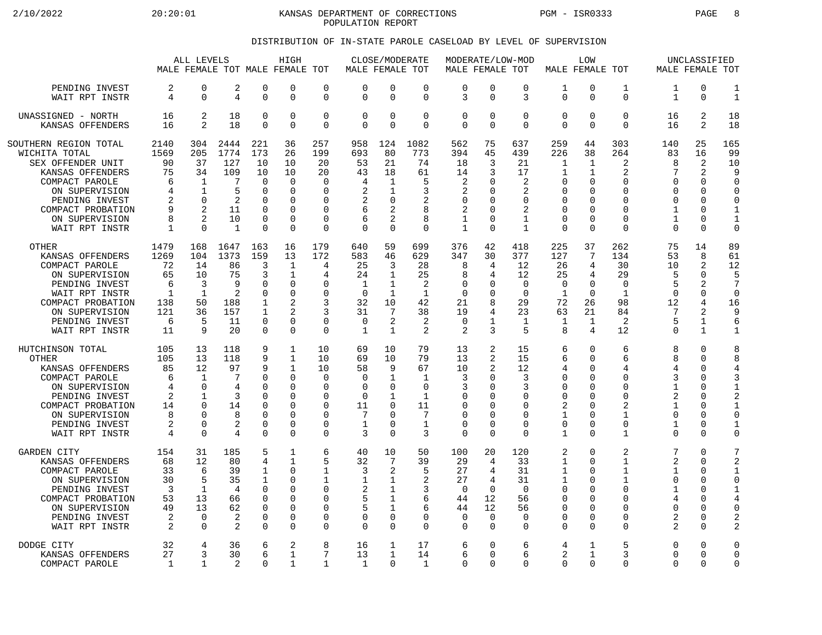2/10/2022 20:20:01 KANSAS DEPARTMENT OF CORRECTIONS PGM - ISR0333 PAGE 8 POPULATION REPORT

## DISTRIBUTION OF IN-STATE PAROLE CASELOAD BY LEVEL OF SUPERVISION

|                                                                                                                                                                                | ALL LEVELS<br>MALE FEMALE TOT MALE FEMALE TOT                     |                                                                                      |                                                                   |                                                                                                 | HIGH                                                                                                        |                                                                                  | MALE FEMALE TOT                                                                       | CLOSE/MODERATE                                                                                           |                                                                                               | MODERATE/LOW-MOD<br>MALE FEMALE TOT                                                 |                                                                |                                                                               | MALE FEMALE TOT                                                                                           | LOW                                                                                                |                                                                                                       | MALE FEMALE TOT                                                                          | UNCLASSIFIED                                                                                                             |                                                                                                              |
|--------------------------------------------------------------------------------------------------------------------------------------------------------------------------------|-------------------------------------------------------------------|--------------------------------------------------------------------------------------|-------------------------------------------------------------------|-------------------------------------------------------------------------------------------------|-------------------------------------------------------------------------------------------------------------|----------------------------------------------------------------------------------|---------------------------------------------------------------------------------------|----------------------------------------------------------------------------------------------------------|-----------------------------------------------------------------------------------------------|-------------------------------------------------------------------------------------|----------------------------------------------------------------|-------------------------------------------------------------------------------|-----------------------------------------------------------------------------------------------------------|----------------------------------------------------------------------------------------------------|-------------------------------------------------------------------------------------------------------|------------------------------------------------------------------------------------------|--------------------------------------------------------------------------------------------------------------------------|--------------------------------------------------------------------------------------------------------------|
|                                                                                                                                                                                |                                                                   |                                                                                      |                                                                   |                                                                                                 |                                                                                                             |                                                                                  |                                                                                       |                                                                                                          |                                                                                               |                                                                                     |                                                                |                                                                               |                                                                                                           |                                                                                                    |                                                                                                       |                                                                                          |                                                                                                                          |                                                                                                              |
| PENDING INVEST                                                                                                                                                                 | 2                                                                 | 0                                                                                    | 2                                                                 | $\Omega$                                                                                        | 0                                                                                                           | $\mathbf 0$                                                                      | $\Omega$                                                                              | $\mathbf 0$                                                                                              | $\mathbf 0$                                                                                   | $\mathbf 0$                                                                         | $\Omega$                                                       | 0                                                                             | 1                                                                                                         | $\mathbf 0$                                                                                        | 1                                                                                                     | 1                                                                                        | $\Omega$                                                                                                                 | $\mathbf{1}$                                                                                                 |
| WAIT RPT INSTR                                                                                                                                                                 | 4                                                                 | 0                                                                                    | 4                                                                 | $\mathbf 0$                                                                                     | 0                                                                                                           | $\mathbf 0$                                                                      | $\mathbf 0$                                                                           | $\mathbf 0$                                                                                              | $\mathbf 0$                                                                                   | 3                                                                                   | $\mathbf{0}$                                                   | 3                                                                             | $\mathbf 0$                                                                                               | $\overline{0}$                                                                                     | $\mathbf 0$                                                                                           | $\mathbf{1}$                                                                             | 0                                                                                                                        | $\mathbf{1}$                                                                                                 |
| UNASSIGNED - NORTH                                                                                                                                                             | 16                                                                | 2                                                                                    | 18                                                                | $\Omega$                                                                                        | 0                                                                                                           | $\mathbf 0$                                                                      | $\Omega$                                                                              | $\Omega$                                                                                                 | $\mathbf 0$                                                                                   | $\mathsf 0$                                                                         | $\Omega$                                                       | $\Omega$                                                                      | 0                                                                                                         | $\Omega$                                                                                           | $\Omega$                                                                                              | 16                                                                                       | 2                                                                                                                        | 18                                                                                                           |
| KANSAS OFFENDERS                                                                                                                                                               | 16                                                                | $\overline{a}$                                                                       | 18                                                                | $\mathbf 0$                                                                                     | $\Omega$                                                                                                    | $\mathbf 0$                                                                      | $\Omega$                                                                              | $\Omega$                                                                                                 | $\Omega$                                                                                      | $\overline{0}$                                                                      | $\Omega$                                                       | $\Omega$                                                                      | $\mathbf 0$                                                                                               | $\Omega$                                                                                           | $\Omega$                                                                                              | 16                                                                                       | 2                                                                                                                        | 18                                                                                                           |
| SOUTHERN REGION TOTAL                                                                                                                                                          | 2140                                                              | 304                                                                                  | 2444                                                              | 221                                                                                             | 36                                                                                                          | 257                                                                              | 958                                                                                   | 124                                                                                                      | 1082                                                                                          | 562                                                                                 | 75                                                             | 637                                                                           | 259                                                                                                       | 44                                                                                                 | 303                                                                                                   | 140                                                                                      | 25                                                                                                                       | 165                                                                                                          |
| WICHITA TOTAL                                                                                                                                                                  | 1569                                                              | 205                                                                                  | 1774                                                              | 173                                                                                             | 26                                                                                                          | 199                                                                              | 693                                                                                   | 80                                                                                                       | 773                                                                                           | 394                                                                                 | 45                                                             | 439                                                                           | 226                                                                                                       | 38                                                                                                 | 264                                                                                                   | 83                                                                                       | 16                                                                                                                       | 99                                                                                                           |
| SEX OFFENDER UNIT                                                                                                                                                              | 90                                                                | 37                                                                                   | 127                                                               | 10                                                                                              | 10                                                                                                          | 20                                                                               | 53                                                                                    | 21                                                                                                       | 74                                                                                            | 18                                                                                  | 3                                                              | 21                                                                            | $\mathbf{1}$                                                                                              | 1                                                                                                  | 2                                                                                                     | 8                                                                                        | 2                                                                                                                        | 10                                                                                                           |
| KANSAS OFFENDERS                                                                                                                                                               | 75                                                                | 34                                                                                   | 109                                                               | 10                                                                                              | 10                                                                                                          | 20                                                                               | 43                                                                                    | 18                                                                                                       | 61                                                                                            | 14                                                                                  | 3                                                              | 17                                                                            | 1                                                                                                         | $\mathbf{1}$                                                                                       | 2                                                                                                     | 7                                                                                        | 2                                                                                                                        | 9                                                                                                            |
| COMPACT PAROLE                                                                                                                                                                 | 6                                                                 | 1                                                                                    | 7                                                                 | $\Omega$                                                                                        | 0                                                                                                           | 0                                                                                | $\overline{4}$                                                                        | 1                                                                                                        | 5                                                                                             | 2                                                                                   | $\Omega$                                                       | 2                                                                             | $\Omega$                                                                                                  | $\Omega$                                                                                           | $\Omega$                                                                                              | O                                                                                        | $\Omega$                                                                                                                 | $\mathbf 0$                                                                                                  |
| ON SUPERVISION                                                                                                                                                                 | 4                                                                 | $\mathbf 1$                                                                          | 5                                                                 | $\Omega$                                                                                        | 0                                                                                                           | 0                                                                                | 2                                                                                     | 1                                                                                                        | 3                                                                                             | 2                                                                                   | ∩                                                              | 2                                                                             | $\mathbf 0$                                                                                               | 0                                                                                                  | $\mathbf 0$                                                                                           | 0                                                                                        | $\Omega$                                                                                                                 | C                                                                                                            |
| PENDING INVEST                                                                                                                                                                 | 2                                                                 | $\Omega$                                                                             | 2                                                                 | $\Omega$                                                                                        | 0                                                                                                           | 0                                                                                | 2                                                                                     | $\Omega$                                                                                                 | 2                                                                                             | 0                                                                                   | O                                                              | $\Omega$                                                                      | 0                                                                                                         | 0                                                                                                  | $\Omega$                                                                                              | 0                                                                                        | <sup>0</sup>                                                                                                             | 0                                                                                                            |
| COMPACT PROBATION                                                                                                                                                              | 9                                                                 | $\mathfrak{D}$                                                                       | 11                                                                | $\Omega$                                                                                        | $\Omega$                                                                                                    | $\Omega$                                                                         | 6                                                                                     | $\overline{2}$                                                                                           | 8                                                                                             | 2                                                                                   | $\Omega$                                                       | 2                                                                             | $\Omega$                                                                                                  | $\Omega$                                                                                           | $\Omega$                                                                                              | 1                                                                                        | $\Omega$                                                                                                                 | $\mathbf 1$                                                                                                  |
| ON SUPERVISION                                                                                                                                                                 | 8                                                                 | $\overline{2}$                                                                       | 10                                                                | $\mathbf 0$                                                                                     | $\Omega$                                                                                                    | $\mathbf 0$                                                                      | 6                                                                                     | 2                                                                                                        | 8                                                                                             | 1                                                                                   | $\Omega$                                                       | 1                                                                             | $\mathbf 0$                                                                                               | $\mathbf 0$                                                                                        | $\mathbf 0$                                                                                           | $\mathbf{1}$                                                                             | $\Omega$                                                                                                                 | $\mathbf{1}$                                                                                                 |
| WAIT RPT INSTR                                                                                                                                                                 | 1                                                                 | $\Omega$                                                                             | $\mathbf{1}$                                                      | $\Omega$                                                                                        | $\Omega$                                                                                                    | $\mathbf 0$                                                                      | $\Omega$                                                                              | $\Omega$                                                                                                 | $\Omega$                                                                                      | $\mathbf{1}$                                                                        | $\Omega$                                                       | $\mathbf{1}$                                                                  | $\Omega$                                                                                                  | $\Omega$                                                                                           | $\Omega$                                                                                              | $\Omega$                                                                                 | $\Omega$                                                                                                                 | $\mathbf 0$                                                                                                  |
| OTHER                                                                                                                                                                          | 1479                                                              | 168                                                                                  | 1647                                                              | 163                                                                                             | 16                                                                                                          | 179                                                                              | 640                                                                                   | 59                                                                                                       | 699                                                                                           | 376                                                                                 | 42                                                             | 418                                                                           | 225                                                                                                       | 37                                                                                                 | 262                                                                                                   | 75                                                                                       | 14                                                                                                                       | 89                                                                                                           |
| KANSAS OFFENDERS                                                                                                                                                               | 1269                                                              | 104                                                                                  | 1373                                                              | 159                                                                                             | 13                                                                                                          | 172                                                                              | 583                                                                                   | 46                                                                                                       | 629                                                                                           | 347                                                                                 | 30                                                             | 377                                                                           | 127                                                                                                       | 7                                                                                                  | 134                                                                                                   | 53                                                                                       | 8                                                                                                                        | 61                                                                                                           |
| COMPACT PAROLE                                                                                                                                                                 | 72                                                                | 14                                                                                   | 86                                                                | 3                                                                                               | $\mathbf{1}$                                                                                                | 4                                                                                | 25                                                                                    | 3                                                                                                        | 28                                                                                            | 8                                                                                   | 4                                                              | 12                                                                            | 26                                                                                                        | 4                                                                                                  | 30                                                                                                    | 10                                                                                       | 2                                                                                                                        | 12                                                                                                           |
| ON SUPERVISION                                                                                                                                                                 | 65                                                                | 10                                                                                   | 75                                                                | 3                                                                                               | $\mathbf{1}$                                                                                                | 4                                                                                | 24                                                                                    | $\mathbf 1$                                                                                              | 25                                                                                            | 8                                                                                   | 4                                                              | 12                                                                            | 25                                                                                                        | 4                                                                                                  | 29                                                                                                    | 5                                                                                        | $\Omega$                                                                                                                 | 5                                                                                                            |
| PENDING INVEST                                                                                                                                                                 | 6                                                                 | 3                                                                                    | 9                                                                 | $\Omega$                                                                                        | 0                                                                                                           | $\Omega$                                                                         | 1                                                                                     | $\mathbf 1$                                                                                              | 2                                                                                             | 0                                                                                   | $\Omega$                                                       | $\mathbf 0$                                                                   | $\mathbf 0$                                                                                               | $\mathbf 0$                                                                                        | $\mathbf 0$                                                                                           | 5                                                                                        | 2                                                                                                                        | 7                                                                                                            |
| WAIT RPT INSTR                                                                                                                                                                 | $\mathbf 1$                                                       | $\mathbf{1}$                                                                         | 2                                                                 | $\mathbf 0$                                                                                     | 0                                                                                                           | $\Omega$                                                                         | $\Omega$                                                                              | $\mathbf 1$                                                                                              | $\mathbf{1}$                                                                                  | $\mathbf 0$                                                                         | <sup>0</sup>                                                   | $\Omega$                                                                      | $\mathbf{1}$                                                                                              | $\Omega$                                                                                           | $\mathbf{1}$                                                                                          | 0                                                                                        | $\mathbf 0$                                                                                                              | $\Omega$                                                                                                     |
| COMPACT PROBATION                                                                                                                                                              | 138                                                               | 50                                                                                   | 188                                                               | $\mathbf{1}$                                                                                    | 2                                                                                                           | 3                                                                                | 32                                                                                    | 10                                                                                                       | 42                                                                                            | 21                                                                                  | 8                                                              | 29                                                                            | 72                                                                                                        | 26                                                                                                 | 98                                                                                                    | 12                                                                                       | 4                                                                                                                        | 16                                                                                                           |
| ON SUPERVISION                                                                                                                                                                 | 121                                                               | 36                                                                                   | 157                                                               | $\mathbf 1$                                                                                     | $\overline{2}$                                                                                              | 3                                                                                | 31                                                                                    | 7                                                                                                        | 38                                                                                            | 19                                                                                  | 4                                                              | 23                                                                            | 63                                                                                                        | 21                                                                                                 | 84                                                                                                    | 7                                                                                        | 2                                                                                                                        | 9                                                                                                            |
| PENDING INVEST                                                                                                                                                                 | 6                                                                 | 5                                                                                    | 11                                                                | $\mathbf 0$                                                                                     | 0                                                                                                           | 0                                                                                | 0                                                                                     | 2                                                                                                        | 2                                                                                             | 0                                                                                   | 1                                                              | 1                                                                             | 1                                                                                                         | 1                                                                                                  | 2                                                                                                     | 5                                                                                        | 1                                                                                                                        | 6                                                                                                            |
| WAIT RPT INSTR                                                                                                                                                                 | 11                                                                | 9                                                                                    | 20                                                                | $\mathbf 0$                                                                                     | 0                                                                                                           | $\mathbf 0$                                                                      | 1                                                                                     | $\mathbf{1}$                                                                                             | 2                                                                                             | 2                                                                                   | 3                                                              | 5                                                                             | 8                                                                                                         | $\overline{4}$                                                                                     | 12                                                                                                    | 0                                                                                        | $\mathbf{1}$                                                                                                             | $\mathbf{1}$                                                                                                 |
| HUTCHINSON TOTAL<br>OTHER<br>KANSAS OFFENDERS<br>COMPACT PAROLE<br>ON SUPERVISION<br>PENDING INVEST<br>COMPACT PROBATION<br>ON SUPERVISION<br>PENDING INVEST<br>WAIT RPT INSTR | 105<br>105<br>85<br>6<br>4<br>$\overline{c}$<br>14<br>8<br>2<br>4 | 13<br>13<br>12<br>1<br>$\mathbf 0$<br>$\mathbf{1}$<br>$\Omega$<br>O<br>O<br>$\Omega$ | 118<br>118<br>97<br>7<br>4<br>3<br>14<br>8<br>$\overline{2}$<br>4 | 9<br>9<br>9<br>$\Omega$<br>$\Omega$<br>$\Omega$<br>$\Omega$<br>$\Omega$<br>$\Omega$<br>$\Omega$ | $\mathbf{1}$<br>$\mathbf{1}$<br>$\mathbf{1}$<br>0<br>0<br>$\Omega$<br>$\Omega$<br>0<br>$\Omega$<br>$\Omega$ | 10<br>10<br>10<br>0<br>$\mathbf 0$<br>$\Omega$<br>0<br>0<br>$\Omega$<br>$\Omega$ | 69<br>69<br>58<br>$\Omega$<br>$\mathbf 0$<br>$\Omega$<br>11<br>7<br>$\mathbf{1}$<br>3 | 10<br>10<br>9<br>$\mathbf 1$<br>$\Omega$<br>$\mathbf{1}$<br>$\Omega$<br>$\Omega$<br>$\Omega$<br>$\Omega$ | 79<br>79<br>67<br>$\mathbf{1}$<br>$\mathbf 0$<br>$\mathbf{1}$<br>11<br>7<br>$\mathbf{1}$<br>3 | 13<br>13<br>10<br>3<br>3<br>$\mathbf 0$<br>$\mathbf 0$<br>0<br>$\Omega$<br>$\Omega$ | 2<br>2<br>2<br>O<br>O<br>U<br>$\Omega$<br>$\Omega$<br>$\Omega$ | 15<br>15<br>12<br>3<br>3<br>$\Omega$<br>∩<br>$\Omega$<br>$\Omega$<br>$\Omega$ | 6<br>6<br>4<br>$\Omega$<br>$\mathbf 0$<br>$\mathbf 0$<br>2<br>$\mathbf{1}$<br>$\mathbf 0$<br>$\mathbf{1}$ | $\Omega$<br>$\Omega$<br>0<br>0<br>$\mathbf 0$<br>$\Omega$<br>$\Omega$<br>0<br>$\Omega$<br>$\Omega$ | 6<br>6<br>4<br>$\mathbf 0$<br>$\Omega$<br>$\Omega$<br>$\overline{2}$<br>1<br>$\Omega$<br>$\mathbf{1}$ | 8<br>8<br>4<br>3<br>$\mathbf{1}$<br>$\mathfrak{D}$<br>$\mathbf{1}$<br>0<br>1<br>$\Omega$ | $\Omega$<br>$\Omega$<br>$\Omega$<br>$\Omega$<br><sup>0</sup><br>$\Omega$<br>$\Omega$<br>$\Omega$<br>$\Omega$<br>$\Omega$ | 8<br>8<br>4<br>3<br>$\mathbf{1}$<br>$\overline{c}$<br>$\mathbf 1$<br>$\mathbf 0$<br>$\mathbf{1}$<br>$\Omega$ |
| GARDEN CITY                                                                                                                                                                    | 154                                                               | 31                                                                                   | 185                                                               | 5                                                                                               | 1                                                                                                           | 6                                                                                | 40                                                                                    | 10                                                                                                       | 50                                                                                            | 100                                                                                 | 20                                                             | 120                                                                           | 2                                                                                                         | $\mathbf 0$                                                                                        | 2                                                                                                     | 7                                                                                        | $\Omega$                                                                                                                 | 7                                                                                                            |
| KANSAS OFFENDERS                                                                                                                                                               | 68                                                                | 12                                                                                   | 80                                                                | 4                                                                                               | 1                                                                                                           | 5                                                                                | 32                                                                                    | 7                                                                                                        | 39                                                                                            | 29                                                                                  | 4                                                              | 33                                                                            | $\mathbf{1}$                                                                                              | $\Omega$                                                                                           | 1                                                                                                     | $\overline{2}$                                                                           | $\Omega$                                                                                                                 | $\overline{c}$                                                                                               |
| COMPACT PAROLE                                                                                                                                                                 | 33                                                                | 6                                                                                    | 39                                                                | $\mathbf 1$                                                                                     | $\Omega$                                                                                                    | 1                                                                                | 3                                                                                     | 2                                                                                                        | 5                                                                                             | 27                                                                                  | 4                                                              | 31                                                                            | $\mathbf{1}$                                                                                              | $\Omega$                                                                                           | $\mathbf{1}$                                                                                          | $\mathbf{1}$                                                                             | $\Omega$                                                                                                                 | $\mathbf{1}$                                                                                                 |
| ON SUPERVISION                                                                                                                                                                 | 30                                                                | 5                                                                                    | 35                                                                | $\mathbf 1$                                                                                     | 0                                                                                                           | $\mathbf{1}$                                                                     | 1                                                                                     | 1                                                                                                        | 2                                                                                             | 27                                                                                  | 4                                                              | 31                                                                            | $\mathbf{1}$                                                                                              | $\Omega$                                                                                           | 1                                                                                                     | 0                                                                                        | $\Omega$                                                                                                                 | $\Omega$                                                                                                     |
| PENDING INVEST                                                                                                                                                                 | 3                                                                 | 1                                                                                    | $\overline{4}$                                                    | $\Omega$                                                                                        | <sup>0</sup>                                                                                                | 0                                                                                | 2                                                                                     | $\mathbf{1}$                                                                                             | 3                                                                                             | $\Omega$                                                                            | $\Omega$                                                       | $\Omega$                                                                      | $\Omega$                                                                                                  | $\Omega$                                                                                           | $\Omega$                                                                                              | 1                                                                                        | $\Omega$                                                                                                                 | $\mathbf{1}$                                                                                                 |
| COMPACT PROBATION                                                                                                                                                              | 53                                                                | 13                                                                                   | 66                                                                | $\Omega$                                                                                        | $\Omega$                                                                                                    | $\mathbf 0$                                                                      | 5                                                                                     | 1                                                                                                        | 6                                                                                             | 44                                                                                  | 12                                                             | 56                                                                            | $\mathbf 0$                                                                                               | $\Omega$                                                                                           | $\Omega$                                                                                              | 4                                                                                        | ∩                                                                                                                        | 4                                                                                                            |
| ON SUPERVISION                                                                                                                                                                 | 49                                                                | 13                                                                                   | 62                                                                | $\Omega$                                                                                        | 0                                                                                                           | 0                                                                                | 5                                                                                     | $\mathbf{1}$                                                                                             | 6                                                                                             | 44                                                                                  | 12                                                             | 56                                                                            | $\Omega$                                                                                                  | $\Omega$                                                                                           | 0                                                                                                     | <sup>0</sup>                                                                             | $\Omega$                                                                                                                 | $\Omega$                                                                                                     |
| PENDING INVEST                                                                                                                                                                 | 2                                                                 | $\Omega$                                                                             | 2                                                                 | $\Omega$                                                                                        | $\Omega$                                                                                                    | 0                                                                                | 0                                                                                     | 0                                                                                                        | 0                                                                                             | 0                                                                                   | $\Omega$                                                       | $\Omega$                                                                      | 0                                                                                                         | 0                                                                                                  | $\Omega$                                                                                              | 2                                                                                        | $\Omega$                                                                                                                 | 2                                                                                                            |
| WAIT RPT INSTR                                                                                                                                                                 | 2                                                                 | $\Omega$                                                                             | 2                                                                 | $\Omega$                                                                                        | $\Omega$                                                                                                    | $\mathbf 0$                                                                      | $\Omega$                                                                              | $\Omega$                                                                                                 | $\Omega$                                                                                      | $\mathbf 0$                                                                         | $\Omega$                                                       | $\Omega$                                                                      | $\Omega$                                                                                                  | $\Omega$                                                                                           | $\Omega$                                                                                              | $\overline{2}$                                                                           | $\Omega$                                                                                                                 | $\overline{2}$                                                                                               |
| DODGE CITY                                                                                                                                                                     | 32                                                                | 4                                                                                    | 36                                                                | 6                                                                                               | 2                                                                                                           | 8                                                                                | 16                                                                                    | 1                                                                                                        | 17                                                                                            | 6                                                                                   | $\Omega$                                                       | 6                                                                             | 4                                                                                                         | 1                                                                                                  | 5                                                                                                     | 0                                                                                        | ∩                                                                                                                        | 0                                                                                                            |
| KANSAS OFFENDERS                                                                                                                                                               | 27                                                                | 3                                                                                    | 30                                                                | 6                                                                                               | 1                                                                                                           | 7                                                                                | 13                                                                                    | $\mathbf{1}$                                                                                             | 14                                                                                            | 6                                                                                   | $\Omega$                                                       | 6                                                                             | 2                                                                                                         | 1                                                                                                  | 3                                                                                                     | 0                                                                                        | $\Omega$                                                                                                                 | $\Omega$                                                                                                     |
| COMPACT PAROLE                                                                                                                                                                 | $\mathbf{1}$                                                      | $\mathbf{1}$                                                                         | 2                                                                 | $\Omega$                                                                                        | $\mathbf{1}$                                                                                                | $\mathbf{1}$                                                                     | 1                                                                                     | $\Omega$                                                                                                 | $\mathbf{1}$                                                                                  | $\Omega$                                                                            | $\Omega$                                                       | $\Omega$                                                                      | $\Omega$                                                                                                  | $\Omega$                                                                                           | $\Omega$                                                                                              | $\Omega$                                                                                 | $\Omega$                                                                                                                 | $\overline{0}$                                                                                               |